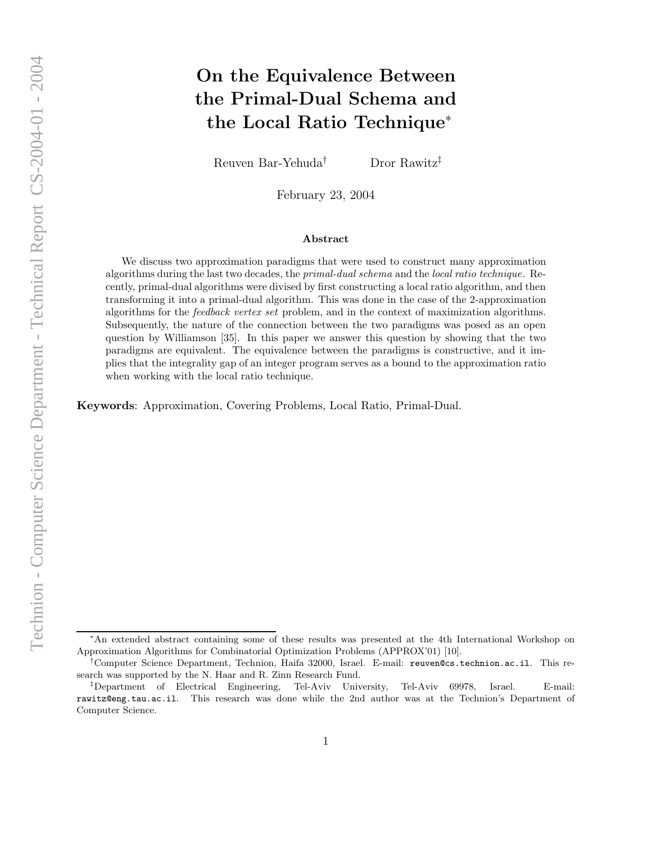# On the Equivalence Between the Primal-Dual Schema and the Local Ratio Technique<sup>∗</sup>

Reuven Bar-Yehuda† Dror Rawitz‡

February 23, 2004

#### Abstract

We discuss two approximation paradigms that were used to construct many approximation algorithms during the last two decades, the primal-dual schema and the local ratio technique. Recently, primal-dual algorithms were divised by first constructing a local ratio algorithm, and then transforming it into a primal-dual algorithm. This was done in the case of the 2-approximation algorithms for the feedback vertex set problem, and in the context of maximization algorithms. Subsequently, the nature of the connection between the two paradigms was posed as an open question by Williamson [35]. In this paper we answer this question by showing that the two paradigms are equivalent. The equivalence between the paradigms is constructive, and it implies that the integrality gap of an integer program serves as a bound to the approximation ratio when working with the local ratio technique.

Keywords: Approximation, Covering Problems, Local Ratio, Primal-Dual.

<sup>∗</sup>An extended abstract containing some of these results was presented at the 4th International Workshop on Approximation Algorithms for Combinatorial Optimization Problems (APPROX'01) [10].

<sup>†</sup>Computer Science Department, Technion, Haifa 32000, Israel. E-mail: reuven@cs.technion.ac.il. This research was supported by the N. Haar and R. Zinn Research Fund.

<sup>‡</sup>Department of Electrical Engineering, Tel-Aviv University, Tel-Aviv 69978, Israel. E-mail: rawitz@eng.tau.ac.il. This research was done while the 2nd author was at the Technion's Department of Computer Science.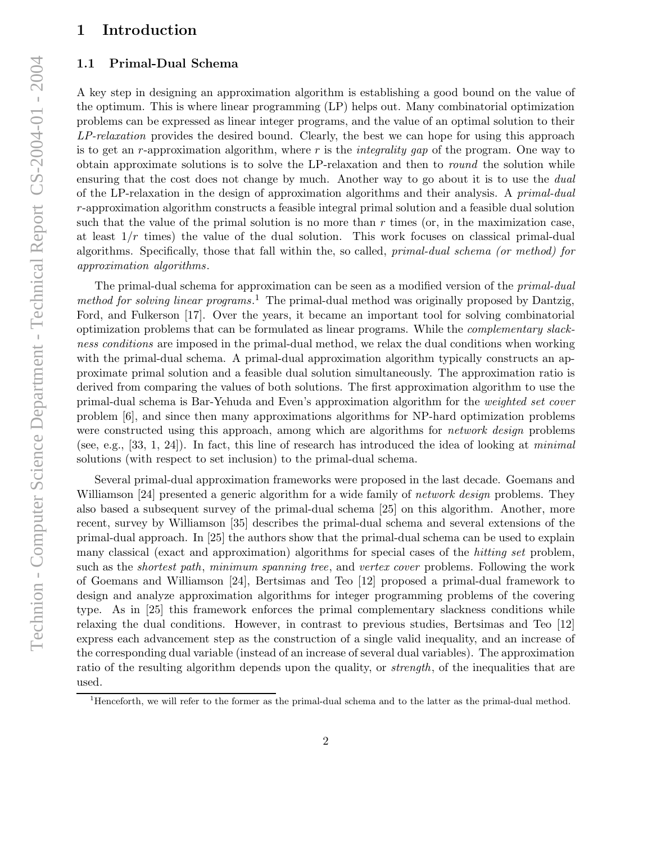# 1 Introduction

# 1.1 Primal-Dual Schema

A key step in designing an approximation algorithm is establishing a good bound on the value of the optimum. This is where linear programming (LP) helps out. Many combinatorial optimization problems can be expressed as linear integer programs, and the value of an optimal solution to their  $LP$ -relaxation provides the desired bound. Clearly, the best we can hope for using this approach is to get an r-approximation algorithm, where r is the *integrality gap* of the program. One way to obtain approximate solutions is to solve the LP-relaxation and then to round the solution while ensuring that the cost does not change by much. Another way to go about it is to use the *dual* of the LP-relaxation in the design of approximation algorithms and their analysis. A primal-dual r-approximation algorithm constructs a feasible integral primal solution and a feasible dual solution such that the value of the primal solution is no more than  $r$  times (or, in the maximization case, at least  $1/r$  times) the value of the dual solution. This work focuses on classical primal-dual algorithms. Specifically, those that fall within the, so called, primal-dual schema (or method) for approximation algorithms.

The primal-dual schema for approximation can be seen as a modified version of the *primal-dual* method for solving linear programs.<sup>1</sup> The primal-dual method was originally proposed by Dantzig, Ford, and Fulkerson [17]. Over the years, it became an important tool for solving combinatorial optimization problems that can be formulated as linear programs. While the complementary slackness conditions are imposed in the primal-dual method, we relax the dual conditions when working with the primal-dual schema. A primal-dual approximation algorithm typically constructs an approximate primal solution and a feasible dual solution simultaneously. The approximation ratio is derived from comparing the values of both solutions. The first approximation algorithm to use the primal-dual schema is Bar-Yehuda and Even's approximation algorithm for the weighted set cover problem [6], and since then many approximations algorithms for NP-hard optimization problems were constructed using this approach, among which are algorithms for *network design* problems (see, e.g.,  $[33, 1, 24]$ ). In fact, this line of research has introduced the idea of looking at *minimal* solutions (with respect to set inclusion) to the primal-dual schema.

Several primal-dual approximation frameworks were proposed in the last decade. Goemans and Williamson [24] presented a generic algorithm for a wide family of *network design* problems. They also based a subsequent survey of the primal-dual schema [25] on this algorithm. Another, more recent, survey by Williamson [35] describes the primal-dual schema and several extensions of the primal-dual approach. In [25] the authors show that the primal-dual schema can be used to explain many classical (exact and approximation) algorithms for special cases of the hitting set problem, such as the *shortest path, minimum spanning tree,* and *vertex cover* problems. Following the work of Goemans and Williamson [24], Bertsimas and Teo [12] proposed a primal-dual framework to design and analyze approximation algorithms for integer programming problems of the covering type. As in [25] this framework enforces the primal complementary slackness conditions while relaxing the dual conditions. However, in contrast to previous studies, Bertsimas and Teo [12] express each advancement step as the construction of a single valid inequality, and an increase of the corresponding dual variable (instead of an increase of several dual variables). The approximation ratio of the resulting algorithm depends upon the quality, or *strength*, of the inequalities that are used.

<sup>&</sup>lt;sup>1</sup>Henceforth, we will refer to the former as the primal-dual schema and to the latter as the primal-dual method.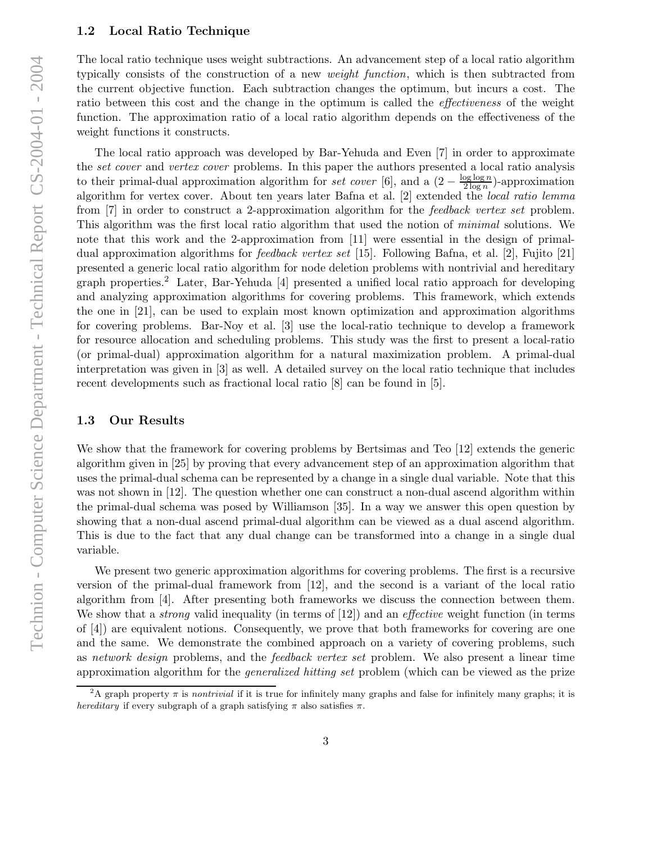# 1.2 Local Ratio Technique

The local ratio technique uses weight subtractions. An advancement step of a local ratio algorithm typically consists of the construction of a new weight function, which is then subtracted from the current objective function. Each subtraction changes the optimum, but incurs a cost. The ratio between this cost and the change in the optimum is called the *effectiveness* of the weight function. The approximation ratio of a local ratio algorithm depends on the effectiveness of the weight functions it constructs.

The local ratio approach was developed by Bar-Yehuda and Even [7] in order to approximate the set cover and vertex cover problems. In this paper the authors presented a local ratio analysis to their primal-dual approximation algorithm for set cover [6], and a  $(2 - \frac{\log \log n}{2 \log n})$  $\frac{\log \log n}{2 \log n}$ )-approximation algorithm for vertex cover. About ten years later Bafna et al. [2] extended the local ratio lemma from [7] in order to construct a 2-approximation algorithm for the feedback vertex set problem. This algorithm was the first local ratio algorithm that used the notion of minimal solutions. We note that this work and the 2-approximation from [11] were essential in the design of primaldual approximation algorithms for *feedback vertex set* [15]. Following Bafna, et al. [2], Fujito [21] presented a generic local ratio algorithm for node deletion problems with nontrivial and hereditary graph properties.<sup>2</sup> Later, Bar-Yehuda [4] presented a unified local ratio approach for developing and analyzing approximation algorithms for covering problems. This framework, which extends the one in [21], can be used to explain most known optimization and approximation algorithms for covering problems. Bar-Noy et al. [3] use the local-ratio technique to develop a framework for resource allocation and scheduling problems. This study was the first to present a local-ratio (or primal-dual) approximation algorithm for a natural maximization problem. A primal-dual interpretation was given in [3] as well. A detailed survey on the local ratio technique that includes recent developments such as fractional local ratio [8] can be found in [5].

### 1.3 Our Results

We show that the framework for covering problems by Bertsimas and Teo [12] extends the generic algorithm given in [25] by proving that every advancement step of an approximation algorithm that uses the primal-dual schema can be represented by a change in a single dual variable. Note that this was not shown in [12]. The question whether one can construct a non-dual ascend algorithm within the primal-dual schema was posed by Williamson [35]. In a way we answer this open question by showing that a non-dual ascend primal-dual algorithm can be viewed as a dual ascend algorithm. This is due to the fact that any dual change can be transformed into a change in a single dual variable.

We present two generic approximation algorithms for covering problems. The first is a recursive version of the primal-dual framework from [12], and the second is a variant of the local ratio algorithm from [4]. After presenting both frameworks we discuss the connection between them. We show that a *strong* valid inequality (in terms of  $[12]$ ) and an *effective* weight function (in terms of [4]) are equivalent notions. Consequently, we prove that both frameworks for covering are one and the same. We demonstrate the combined approach on a variety of covering problems, such as network design problems, and the feedback vertex set problem. We also present a linear time approximation algorithm for the generalized hitting set problem (which can be viewed as the prize

<sup>&</sup>lt;sup>2</sup>A graph property  $\pi$  is nontrivial if it is true for infinitely many graphs and false for infinitely many graphs; it is hereditary if every subgraph of a graph satisfying  $\pi$  also satisfies  $\pi$ .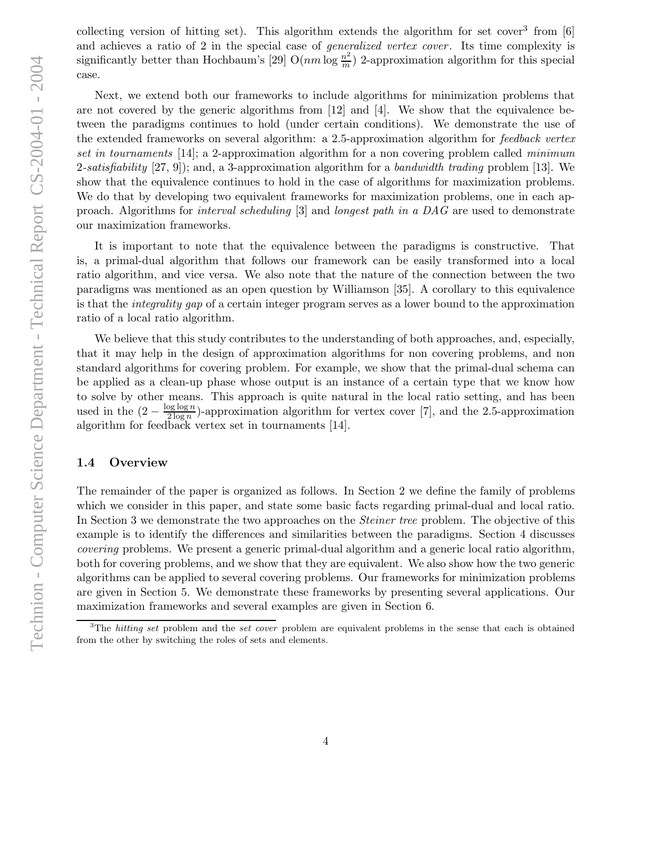collecting version of hitting set). This algorithm extends the algorithm for set cover<sup>3</sup> from  $[6]$ and achieves a ratio of 2 in the special case of *generalized vertex cover*. Its time complexity is significantly better than Hochbaum's [29]  $O(nm \log \frac{n^2}{m})$  2-approximation algorithm for this special case.

Next, we extend both our frameworks to include algorithms for minimization problems that are not covered by the generic algorithms from  $[12]$  and  $[4]$ . We show that the equivalence between the paradigms continues to hold (under certain conditions). We demonstrate the use of the extended frameworks on several algorithm: a 2.5-approximation algorithm for *feedback vertex* set in tournaments [14]; a 2-approximation algorithm for a non covering problem called minimum 2-satisfiability  $[27, 9]$ ; and, a 3-approximation algorithm for a bandwidth trading problem [13]. We show that the equivalence continues to hold in the case of algorithms for maximization problems. We do that by developing two equivalent frameworks for maximization problems, one in each approach. Algorithms for interval scheduling [3] and longest path in a DAG are used to demonstrate our maximization frameworks.

It is important to note that the equivalence between the paradigms is constructive. That is, a primal-dual algorithm that follows our framework can be easily transformed into a local ratio algorithm, and vice versa. We also note that the nature of the connection between the two paradigms was mentioned as an open question by Williamson [35]. A corollary to this equivalence is that the integrality gap of a certain integer program serves as a lower bound to the approximation ratio of a local ratio algorithm.

We believe that this study contributes to the understanding of both approaches, and, especially, that it may help in the design of approximation algorithms for non covering problems, and non standard algorithms for covering problem. For example, we show that the primal-dual schema can be applied as a clean-up phase whose output is an instance of a certain type that we know how to solve by other means. This approach is quite natural in the local ratio setting, and has been used in the  $\left(2-\frac{\log\log n}{2\log n}\right)$  $\frac{\log \log n}{2 \log n}$ )-approximation algorithm for vertex cover [7], and the 2.5-approximation algorithm for feedback vertex set in tournaments [14].

### 1.4 Overview

The remainder of the paper is organized as follows. In Section 2 we define the family of problems which we consider in this paper, and state some basic facts regarding primal-dual and local ratio. In Section 3 we demonstrate the two approaches on the *Steiner tree* problem. The objective of this example is to identify the differences and similarities between the paradigms. Section 4 discusses covering problems. We present a generic primal-dual algorithm and a generic local ratio algorithm, both for covering problems, and we show that they are equivalent. We also show how the two generic algorithms can be applied to several covering problems. Our frameworks for minimization problems are given in Section 5. We demonstrate these frameworks by presenting several applications. Our maximization frameworks and several examples are given in Section 6.

<sup>&</sup>lt;sup>3</sup>The *hitting set* problem and the *set cover* problem are equivalent problems in the sense that each is obtained from the other by switching the roles of sets and elements.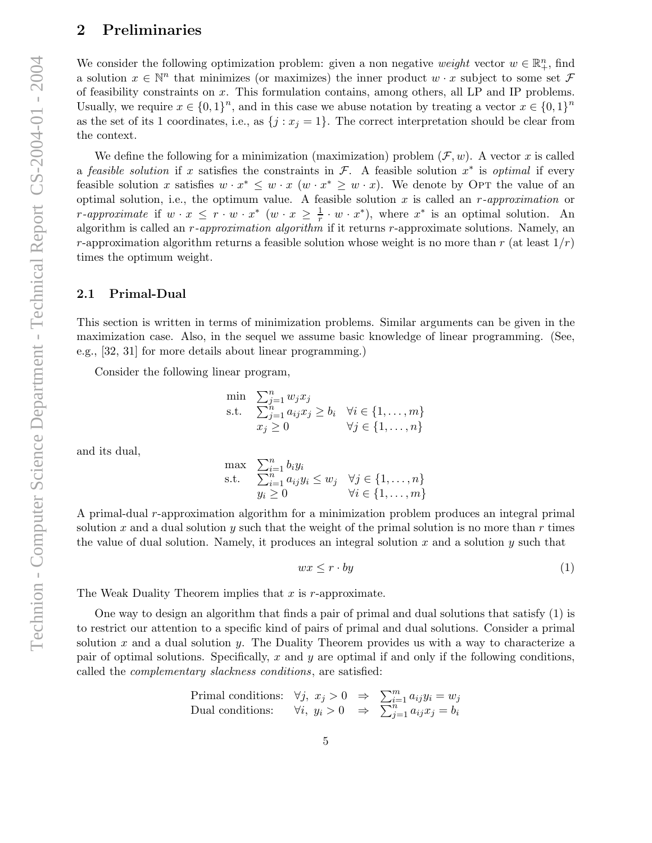# 2 Preliminaries

We consider the following optimization problem: given a non negative weight vector  $w \in \mathbb{R}^n_+$ , find a solution  $x \in \mathbb{N}^n$  that minimizes (or maximizes) the inner product  $w \cdot x$  subject to some set  $\mathcal F$ of feasibility constraints on x. This formulation contains, among others, all LP and IP problems. Usually, we require  $x \in \{0,1\}^n$ , and in this case we abuse notation by treating a vector  $x \in \{0,1\}^n$ as the set of its 1 coordinates, i.e., as  $\{j : x_j = 1\}$ . The correct interpretation should be clear from the context.

We define the following for a minimization (maximization) problem  $(\mathcal{F}, w)$ . A vector x is called a feasible solution if x satisfies the constraints in  $\mathcal{F}$ . A feasible solution  $x^*$  is optimal if every feasible solution x satisfies  $w \cdot x^* \leq w \cdot x$   $(w \cdot x^* \geq w \cdot x)$ . We denote by OPT the value of an optimal solution, i.e., the optimum value. A feasible solution  $x$  is called an  $r$ -approximation or r-approximate if  $w \cdot x \leq r \cdot w \cdot x^*$   $(w \cdot x \geq \frac{1}{r} \cdot w \cdot x^*)$ , where  $x^*$  is an optimal solution. An algorithm is called an  $r$ -approximation algorithm if it returns  $r$ -approximate solutions. Namely, an r-approximation algorithm returns a feasible solution whose weight is no more than r (at least  $1/r$ ) times the optimum weight.

### 2.1 Primal-Dual

This section is written in terms of minimization problems. Similar arguments can be given in the maximization case. Also, in the sequel we assume basic knowledge of linear programming. (See, e.g., [32, 31] for more details about linear programming.)

Consider the following linear program,

$$
\begin{array}{ll}\n\min & \sum_{j=1}^{n} w_j x_j \\
\text{s.t.} & \sum_{j=1}^{n} a_{ij} x_j \ge b_i \quad \forall i \in \{1, \dots, m\} \\
x_j \ge 0 \qquad \qquad \forall j \in \{1, \dots, n\}\n\end{array}
$$

and its dual,

$$
\begin{array}{ll}\n\max & \sum_{i=1}^{n} b_i y_i \\
\text{s.t.} & \sum_{i=1}^{n} a_{ij} y_i \leq w_j \quad \forall j \in \{1, \dots, n\} \\
y_i \geq 0 & \forall i \in \{1, \dots, m\}\n\end{array}
$$

A primal-dual r-approximation algorithm for a minimization problem produces an integral primal solution x and a dual solution y such that the weight of the primal solution is no more than r times the value of dual solution. Namely, it produces an integral solution  $x$  and a solution  $y$  such that

$$
wx \le r \cdot by \tag{1}
$$

The Weak Duality Theorem implies that  $x$  is  $r$ -approximate.

One way to design an algorithm that finds a pair of primal and dual solutions that satisfy (1) is to restrict our attention to a specific kind of pairs of primal and dual solutions. Consider a primal solution x and a dual solution y. The Duality Theorem provides us with a way to characterize a pair of optimal solutions. Specifically, x and y are optimal if and only if the following conditions, called the complementary slackness conditions, are satisfied:

$$
\begin{array}{lll}\n\text{Primal conditions:} & \forall j, \ x_j > 0 \ \Rightarrow \ \sum_{i=1}^m a_{ij} y_i = w_j \\
\text{Dual conditions:} & \forall i, \ y_i > 0 \ \Rightarrow \ \sum_{j=1}^n a_{ij} x_j = b_i\n\end{array}
$$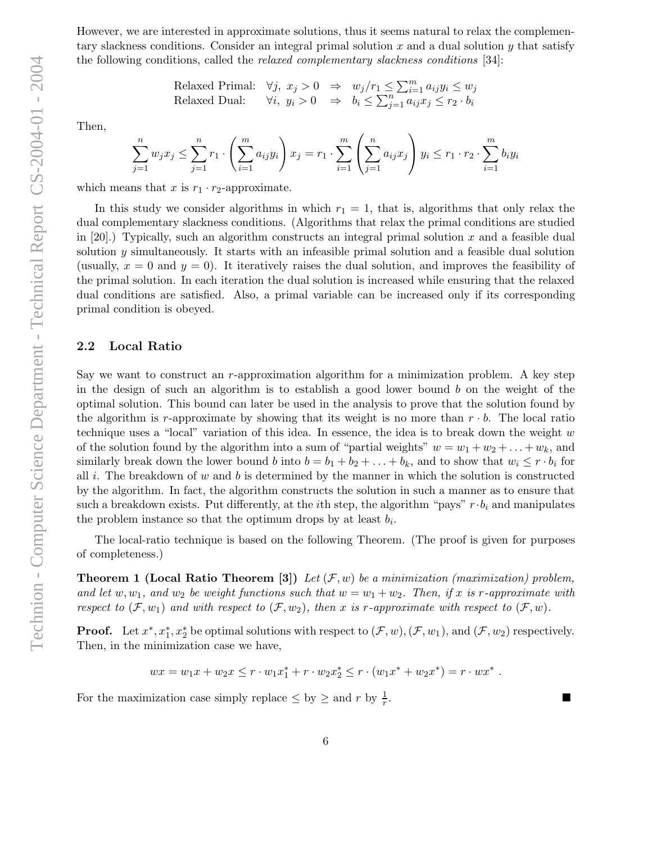Relaxed Primal: 
$$
\forall j, x_j > 0 \Rightarrow w_j/r_1 \leq \sum_{i=1}^m a_{ij}y_i \leq w_j
$$
  
Relaxed Dual:  $\forall i, y_i > 0 \Rightarrow b_i \leq \sum_{j=1}^n a_{ij}x_j \leq r_2 \cdot b_i$ 

Then,

$$
\sum_{j=1}^{n} w_j x_j \le \sum_{j=1}^{n} r_1 \cdot \left( \sum_{i=1}^{m} a_{ij} y_i \right) x_j = r_1 \cdot \sum_{i=1}^{m} \left( \sum_{j=1}^{n} a_{ij} x_j \right) y_i \le r_1 \cdot r_2 \cdot \sum_{i=1}^{m} b_i y_i
$$

which means that x is  $r_1 \cdot r_2$ -approximate.

In this study we consider algorithms in which  $r_1 = 1$ , that is, algorithms that only relax the dual complementary slackness conditions. (Algorithms that relax the primal conditions are studied in [20].) Typically, such an algorithm constructs an integral primal solution x and a feasible dual solution  $y$  simultaneously. It starts with an infeasible primal solution and a feasible dual solution (usually,  $x = 0$  and  $y = 0$ ). It iteratively raises the dual solution, and improves the feasibility of the primal solution. In each iteration the dual solution is increased while ensuring that the relaxed dual conditions are satisfied. Also, a primal variable can be increased only if its corresponding primal condition is obeyed.

### 2.2 Local Ratio

Say we want to construct an r-approximation algorithm for a minimization problem. A key step in the design of such an algorithm is to establish a good lower bound  $b$  on the weight of the optimal solution. This bound can later be used in the analysis to prove that the solution found by the algorithm is r-approximate by showing that its weight is no more than  $r \cdot b$ . The local ratio technique uses a "local" variation of this idea. In essence, the idea is to break down the weight  $w$ of the solution found by the algorithm into a sum of "partial weights"  $w = w_1 + w_2 + ... + w_k$ , and similarly break down the lower bound b into  $b = b_1 + b_2 + \ldots + b_k$ , and to show that  $w_i \le r \cdot b_i$  for all i. The breakdown of  $w$  and  $b$  is determined by the manner in which the solution is constructed by the algorithm. In fact, the algorithm constructs the solution in such a manner as to ensure that such a breakdown exists. Put differently, at the *i*th step, the algorithm "pays"  $r \cdot b_i$  and manipulates the problem instance so that the optimum drops by at least  $b_i$ .

The local-ratio technique is based on the following Theorem. (The proof is given for purposes of completeness.)

**Theorem 1 (Local Ratio Theorem [3])** Let  $(\mathcal{F}, w)$  be a minimization (maximization) problem, and let w,  $w_1$ , and  $w_2$  be weight functions such that  $w = w_1 + w_2$ . Then, if x is r-approximate with respect to  $(\mathcal{F}, w_1)$  and with respect to  $(\mathcal{F}, w_2)$ , then x is r-approximate with respect to  $(\mathcal{F}, w)$ .

**Proof.** Let  $x^*, x_1^*, x_2^*$  be optimal solutions with respect to  $(\mathcal{F}, w), (\mathcal{F}, w_1)$ , and  $(\mathcal{F}, w_2)$  respectively. Then, in the minimization case we have,

$$
wx = w_1x + w_2x \le r \cdot w_1x_1^* + r \cdot w_2x_2^* \le r \cdot (w_1x^* + w_2x^*) = r \cdot wx^*
$$

.

For the maximization case simply replace  $\leq$  by  $\geq$  and  $r$  by  $\frac{1}{r}$ .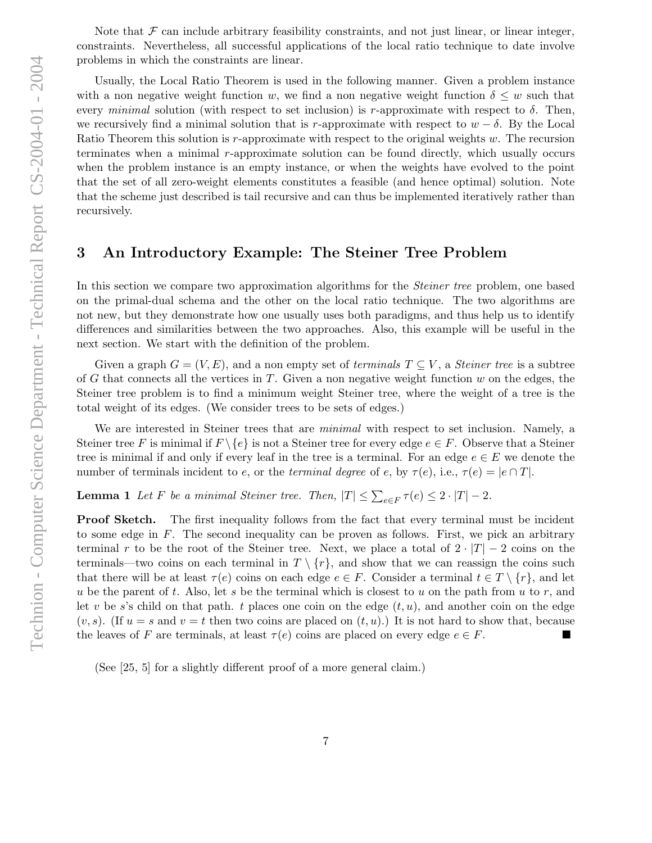Note that  $\mathcal F$  can include arbitrary feasibility constraints, and not just linear, or linear integer, constraints. Nevertheless, all successful applications of the local ratio technique to date involve problems in which the constraints are linear.

Usually, the Local Ratio Theorem is used in the following manner. Given a problem instance with a non negative weight function w, we find a non negative weight function  $\delta \leq w$  such that every minimal solution (with respect to set inclusion) is r-approximate with respect to  $\delta$ . Then, we recursively find a minimal solution that is r-approximate with respect to  $w - \delta$ . By the Local Ratio Theorem this solution is  $r$ -approximate with respect to the original weights  $w$ . The recursion terminates when a minimal r-approximate solution can be found directly, which usually occurs when the problem instance is an empty instance, or when the weights have evolved to the point that the set of all zero-weight elements constitutes a feasible (and hence optimal) solution. Note that the scheme just described is tail recursive and can thus be implemented iteratively rather than recursively.

# 3 An Introductory Example: The Steiner Tree Problem

In this section we compare two approximation algorithms for the Steiner tree problem, one based on the primal-dual schema and the other on the local ratio technique. The two algorithms are not new, but they demonstrate how one usually uses both paradigms, and thus help us to identify differences and similarities between the two approaches. Also, this example will be useful in the next section. We start with the definition of the problem.

Given a graph  $G = (V, E)$ , and a non empty set of *terminals*  $T \subseteq V$ , a *Steiner tree* is a subtree of G that connects all the vertices in T. Given a non negative weight function  $w$  on the edges, the Steiner tree problem is to find a minimum weight Steiner tree, where the weight of a tree is the total weight of its edges. (We consider trees to be sets of edges.)

We are interested in Steiner trees that are *minimal* with respect to set inclusion. Namely, a Steiner tree F is minimal if  $F \setminus \{e\}$  is not a Steiner tree for every edge  $e \in F$ . Observe that a Steiner tree is minimal if and only if every leaf in the tree is a terminal. For an edge  $e \in E$  we denote the number of terminals incident to e, or the terminal degree of e, by  $\tau(e)$ , i.e.,  $\tau(e) = |e \cap T|$ .

**Lemma 1** Let F be a minimal Steiner tree. Then,  $|T| \leq \sum_{e \in F} \tau(e) \leq 2 \cdot |T| - 2$ .

**Proof Sketch.** The first inequality follows from the fact that every terminal must be incident to some edge in  $F$ . The second inequality can be proven as follows. First, we pick an arbitrary terminal r to be the root of the Steiner tree. Next, we place a total of  $2 \cdot |T| - 2$  coins on the terminals—two coins on each terminal in  $T \setminus \{r\}$ , and show that we can reassign the coins such that there will be at least  $\tau(e)$  coins on each edge  $e \in F$ . Consider a terminal  $t \in T \setminus \{r\}$ , and let u be the parent of t. Also, let s be the terminal which is closest to u on the path from u to r, and let v be s's child on that path. t places one coin on the edge  $(t, u)$ , and another coin on the edge  $(v, s)$ . (If  $u = s$  and  $v = t$  then two coins are placed on  $(t, u)$ .) It is not hard to show that, because the leaves of F are terminals, at least  $\tau(e)$  coins are placed on every edge  $e \in F$ .

(See [25, 5] for a slightly different proof of a more general claim.)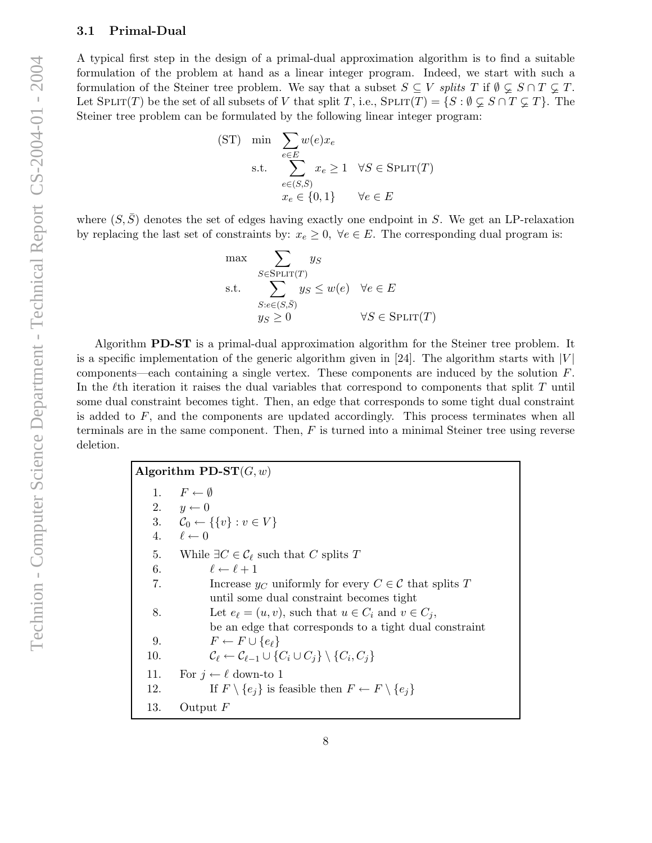#### 3.1 Primal-Dual

A typical first step in the design of a primal-dual approximation algorithm is to find a suitable formulation of the problem at hand as a linear integer program. Indeed, we start with such a formulation of the Steiner tree problem. We say that a subset  $S \subseteq V$  splits T if  $\emptyset \subsetneq S \cap T \subsetneq T$ . Let  $SPLIT(T)$  be the set of all subsets of V that split T, i.e.,  $SPLIT(T) = \{S : \emptyset \subsetneq S \cap T \subsetneq T\}$ . The Steiner tree problem can be formulated by the following linear integer program:

(ST) min 
$$
\sum_{e \in E} w(e)x_e
$$
  
s.t. 
$$
\sum_{e \in (S,\bar{S})} x_e \ge 1 \quad \forall S \in \text{SPLIT}(T)
$$

$$
x_e \in \{0,1\} \qquad \forall e \in E
$$

where  $(S, \overline{S})$  denotes the set of edges having exactly one endpoint in S. We get an LP-relaxation by replacing the last set of constraints by:  $x_e \geq 0$ ,  $\forall e \in E$ . The corresponding dual program is:

$$
\begin{aligned}\n\max \quad & \sum_{S \in \text{SPLIT}(T)} y_S \\
\text{s.t.} \quad & \sum_{S: e \in (S, \bar{S})} y_S \le w(e) \quad \forall e \in E \\
& y_S \ge 0 \qquad \qquad \forall S \in \text{SPLIT}(T)\n\end{aligned}
$$

Algorithm PD-ST is a primal-dual approximation algorithm for the Steiner tree problem. It is a specific implementation of the generic algorithm given in [24]. The algorithm starts with  $|V|$ components—each containing a single vertex. These components are induced by the solution F. In the  $\ell$ th iteration it raises the dual variables that correspond to components that split T until some dual constraint becomes tight. Then, an edge that corresponds to some tight dual constraint is added to  $F$ , and the components are updated accordingly. This process terminates when all terminals are in the same component. Then,  $F$  is turned into a minimal Steiner tree using reverse deletion.

| Algorithm $PD-ST(G, w)$ |                                                                                                   |  |  |  |
|-------------------------|---------------------------------------------------------------------------------------------------|--|--|--|
|                         | 1. $F \leftarrow \emptyset$                                                                       |  |  |  |
|                         | 2. $y \leftarrow 0$                                                                               |  |  |  |
|                         | 3. $\mathcal{C}_0 \leftarrow \{\{v\} : v \in V\}$                                                 |  |  |  |
| 4.                      | $\ell \leftarrow 0$                                                                               |  |  |  |
| 5.                      | While $\exists C \in \mathcal{C}_\ell$ such that C splits T                                       |  |  |  |
| 6.                      | $\ell \leftarrow \ell + 1$                                                                        |  |  |  |
| 7.                      | Increase $y_C$ uniformly for every $C \in \mathcal{C}$ that splits T                              |  |  |  |
|                         | until some dual constraint becomes tight                                                          |  |  |  |
| 8.                      | Let $e_{\ell} = (u, v)$ , such that $u \in C_i$ and $v \in C_j$ ,                                 |  |  |  |
|                         | be an edge that corresponds to a tight dual constraint                                            |  |  |  |
| 9.                      | $F \leftarrow F \cup \{e_\ell\}$                                                                  |  |  |  |
| 10.                     | $\mathcal{C}_{\ell} \leftarrow \mathcal{C}_{\ell-1} \cup \{C_i \cup C_j\} \setminus \{C_i, C_j\}$ |  |  |  |
| 11.                     | For $j \leftarrow \ell$ down-to 1                                                                 |  |  |  |
| 12.                     | If $F \setminus \{e_i\}$ is feasible then $F \leftarrow F \setminus \{e_i\}$                      |  |  |  |
| 13.                     | Output $F$                                                                                        |  |  |  |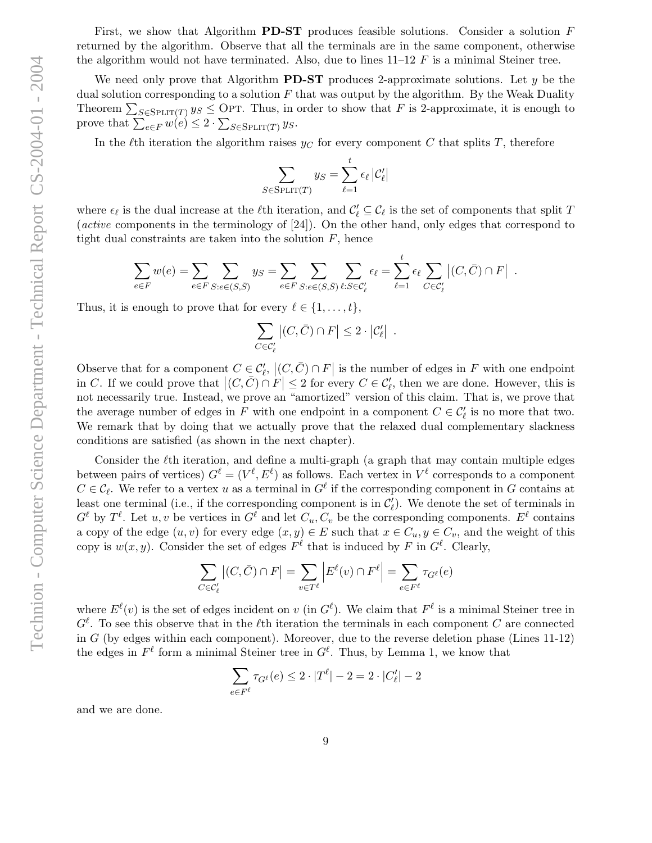First, we show that Algorithm **PD-ST** produces feasible solutions. Consider a solution  $F$ returned by the algorithm. Observe that all the terminals are in the same component, otherwise the algorithm would not have terminated. Also, due to lines  $11-12$  F is a minimal Steiner tree.

We need only prove that Algorithm **PD-ST** produces 2-approximate solutions. Let y be the dual solution corresponding to a solution  $F$  that was output by the algorithm. By the Weak Duality Theorem  $\sum_{S \in \text{SPLIT}(T)} y_S \leq \text{OPT}$ . Thus, in order to show that F is 2-approximate, it is enough to prove that  $\sum_{e \in F} w(e) \leq 2 \cdot \sum_{S \in \text{SPLIT}(T)} y_S$ .

In the  $\ell$ th iteration the algorithm raises  $y_C$  for every component C that splits T, therefore

$$
\sum_{S \in \text{SPLIT}(T)} y_S = \sum_{\ell=1}^t \epsilon_{\ell} |\mathcal{C}'_{\ell}|
$$

where  $\epsilon_{\ell}$  is the dual increase at the  $\ell$ th iteration, and  $\mathcal{C}'_{\ell} \subseteq \mathcal{C}_{\ell}$  is the set of components that split T (active components in the terminology of [24]). On the other hand, only edges that correspond to tight dual constraints are taken into the solution  $F$ , hence

$$
\sum_{e \in F} w(e) = \sum_{e \in F} \sum_{S: e \in (S, \bar{S})} y_S = \sum_{e \in F} \sum_{S: e \in (S, \bar{S})} \sum_{\ell: S \in \mathcal{C}'_{\ell}} \epsilon_{\ell} = \sum_{\ell=1}^t \epsilon_{\ell} \sum_{C \in \mathcal{C}'_{\ell}} |(C, \bar{C}) \cap F|.
$$

Thus, it is enough to prove that for every  $\ell \in \{1, \ldots, t\},\$ 

$$
\sum_{C \in \mathcal{C}'_{\ell}} |(C, \bar{C}) \cap F| \le 2 \cdot |\mathcal{C}'_{\ell}|
$$

.

Observe that for a component  $C \in \mathcal{C}'_{\ell}$ ,  $|(C, \overline{C}) \cap F|$  is the number of edges in F with one endpoint in C. If we could prove that  $|(C,\bar{C}) \cap F| \leq 2$  for every  $C \in C'_{\ell}$ , then we are done. However, this is not necessarily true. Instead, we prove an "amortized" version of this claim. That is, we prove that the average number of edges in F with one endpoint in a component  $C \in \mathcal{C}'_{\ell}$  is no more that two. We remark that by doing that we actually prove that the relaxed dual complementary slackness conditions are satisfied (as shown in the next chapter).

Consider the  $\ell$ th iteration, and define a multi-graph (a graph that may contain multiple edges between pairs of vertices)  $G^{\ell} = (V^{\ell}, E^{\ell})$  as follows. Each vertex in  $V^{\ell}$  corresponds to a component  $C \in \mathcal{C}_{\ell}$ . We refer to a vertex u as a terminal in  $G^{\ell}$  if the corresponding component in G contains at least one terminal (i.e., if the corresponding component is in  $\mathcal{C}'_{\ell}$ ). We denote the set of terminals in  $G^{\ell}$  by  $T^{\ell}$ . Let  $u, v$  be vertices in  $G^{\ell}$  and let  $C_u, C_v$  be the corresponding components.  $E^{\ell}$  contains a copy of the edge  $(u, v)$  for every edge  $(x, y) \in E$  such that  $x \in C_u, y \in C_v$ , and the weight of this copy is  $w(x, y)$ . Consider the set of edges  $F^{\ell}$  that is induced by F in  $G^{\ell}$ . Clearly,

$$
\sum_{C \in \mathcal{C}'_{\ell}} |(C, \bar{C}) \cap F| = \sum_{v \in T^{\ell}} \left| E^{\ell}(v) \cap F^{\ell} \right| = \sum_{e \in F^{\ell}} \tau_{G^{\ell}}(e)
$$

where  $E^{\ell}(v)$  is the set of edges incident on v (in  $G^{\ell}$ ). We claim that  $F^{\ell}$  is a minimal Steiner tree in  $G^{\ell}$ . To see this observe that in the  $\ell$ th iteration the terminals in each component C are connected in  $G$  (by edges within each component). Moreover, due to the reverse deletion phase (Lines 11-12) the edges in  $F^{\ell}$  form a minimal Steiner tree in  $G^{\ell}$ . Thus, by Lemma 1, we know that

$$
\sum_{e \in F^{\ell}} \tau_{G^{\ell}}(e) \le 2 \cdot |T^{\ell}| - 2 = 2 \cdot |C'_{\ell}| - 2
$$

and we are done.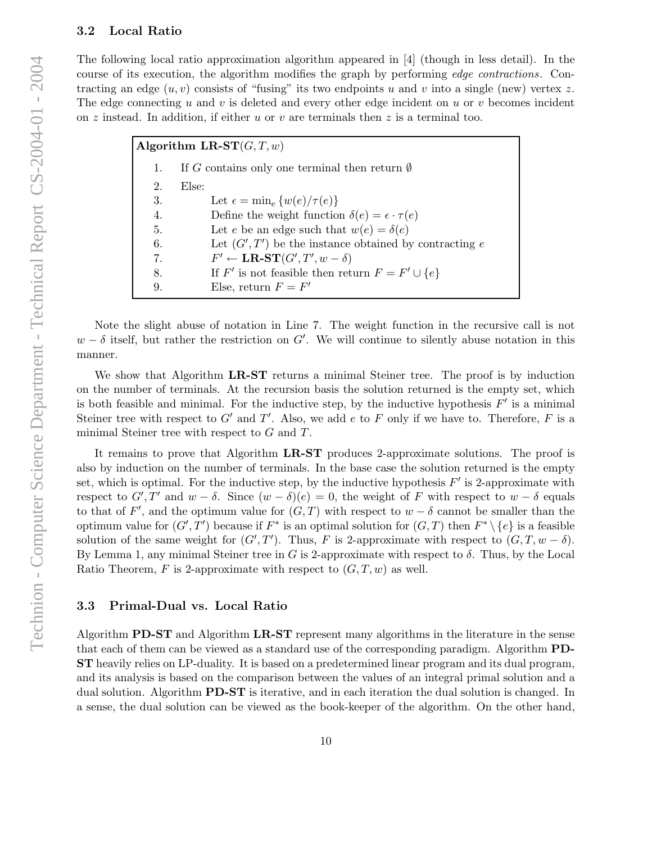#### 3.2 Local Ratio

The following local ratio approximation algorithm appeared in [4] (though in less detail). In the course of its execution, the algorithm modifies the graph by performing edge contractions. Contracting an edge  $(u, v)$  consists of "fusing" its two endpoints u and v into a single (new) vertex z. The edge connecting u and v is deleted and every other edge incident on u or v becomes incident on z instead. In addition, if either u or v are terminals then z is a terminal too.

| Algorithm LR-ST $(G, T, w)$ |                                                                 |  |  |  |
|-----------------------------|-----------------------------------------------------------------|--|--|--|
| 1.                          | If G contains only one terminal then return $\emptyset$         |  |  |  |
| 2.                          | Else:                                                           |  |  |  |
| 3.                          | Let $\epsilon = \min_e \{w(e)/\tau(e)\}\$                       |  |  |  |
| 4.                          | Define the weight function $\delta(e) = \epsilon \cdot \tau(e)$ |  |  |  |
| 5.                          | Let e be an edge such that $w(e) = \delta(e)$                   |  |  |  |
| 6.                          | Let $(G',T')$ be the instance obtained by contracting e         |  |  |  |
| 7.                          | $F' \leftarrow \textbf{LR-ST}(G', T', w - \delta)$              |  |  |  |
| 8.                          | If F' is not feasible then return $F = F' \cup \{e\}$           |  |  |  |
| 9.                          | Else, return $F = F'$                                           |  |  |  |

Note the slight abuse of notation in Line 7. The weight function in the recursive call is not  $w - \delta$  itself, but rather the restriction on G'. We will continue to silently abuse notation in this manner.

We show that Algorithm LR-ST returns a minimal Steiner tree. The proof is by induction on the number of terminals. At the recursion basis the solution returned is the empty set, which is both feasible and minimal. For the inductive step, by the inductive hypothesis  $F'$  is a minimal Steiner tree with respect to  $G'$  and  $T'$ . Also, we add  $e$  to  $F$  only if we have to. Therefore,  $F$  is a minimal Steiner tree with respect to  $G$  and  $T$ .

It remains to prove that Algorithm LR-ST produces 2-approximate solutions. The proof is also by induction on the number of terminals. In the base case the solution returned is the empty set, which is optimal. For the inductive step, by the inductive hypothesis  $F'$  is 2-approximate with respect to  $G', T'$  and  $w - \delta$ . Since  $(w - \delta)(e) = 0$ , the weight of F with respect to  $w - \delta$  equals to that of F', and the optimum value for  $(G,T)$  with respect to  $w-\delta$  cannot be smaller than the optimum value for  $(G',T')$  because if  $F^*$  is an optimal solution for  $(G,T)$  then  $F^* \setminus \{e\}$  is a feasible solution of the same weight for  $(G', T')$ . Thus, F is 2-approximate with respect to  $(G, T, w - \delta)$ . By Lemma 1, any minimal Steiner tree in G is 2-approximate with respect to  $\delta$ . Thus, by the Local Ratio Theorem, F is 2-approximate with respect to  $(G, T, w)$  as well.

# 3.3 Primal-Dual vs. Local Ratio

Algorithm PD-ST and Algorithm LR-ST represent many algorithms in the literature in the sense that each of them can be viewed as a standard use of the corresponding paradigm. Algorithm PD-ST heavily relies on LP-duality. It is based on a predetermined linear program and its dual program, and its analysis is based on the comparison between the values of an integral primal solution and a dual solution. Algorithm PD-ST is iterative, and in each iteration the dual solution is changed. In a sense, the dual solution can be viewed as the book-keeper of the algorithm. On the other hand,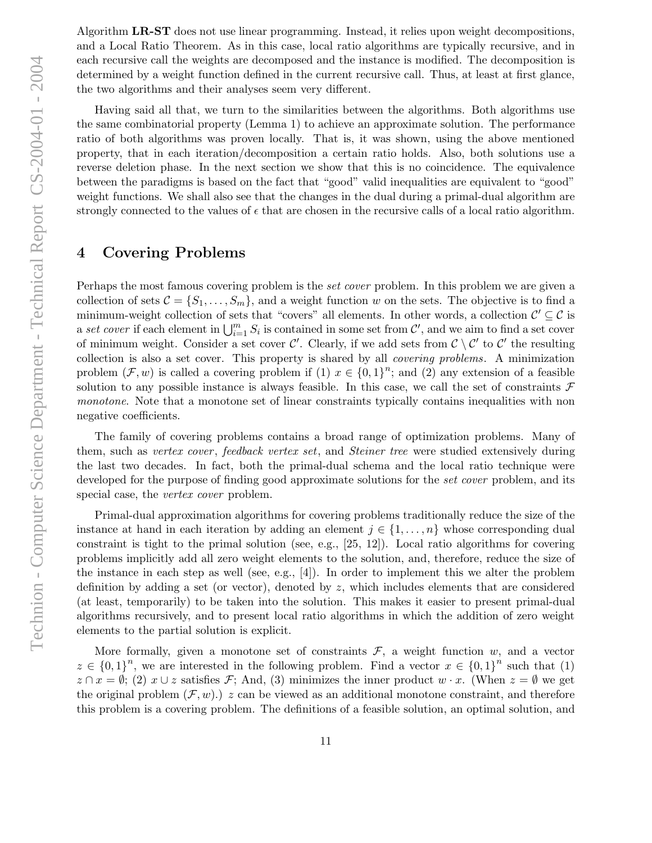Algorithm LR-ST does not use linear programming. Instead, it relies upon weight decompositions, and a Local Ratio Theorem. As in this case, local ratio algorithms are typically recursive, and in each recursive call the weights are decomposed and the instance is modified. The decomposition is determined by a weight function defined in the current recursive call. Thus, at least at first glance, the two algorithms and their analyses seem very different.

Having said all that, we turn to the similarities between the algorithms. Both algorithms use the same combinatorial property (Lemma 1) to achieve an approximate solution. The performance ratio of both algorithms was proven locally. That is, it was shown, using the above mentioned property, that in each iteration/decomposition a certain ratio holds. Also, both solutions use a reverse deletion phase. In the next section we show that this is no coincidence. The equivalence between the paradigms is based on the fact that "good" valid inequalities are equivalent to "good" weight functions. We shall also see that the changes in the dual during a primal-dual algorithm are strongly connected to the values of  $\epsilon$  that are chosen in the recursive calls of a local ratio algorithm.

# 4 Covering Problems

Perhaps the most famous covering problem is the set cover problem. In this problem we are given a collection of sets  $\mathcal{C} = \{S_1, \ldots, S_m\}$ , and a weight function w on the sets. The objective is to find a minimum-weight collection of sets that "covers" all elements. In other words, a collection  $\mathcal{C}' \subseteq \mathcal{C}$  is a set cover if each element in  $\bigcup_{i=1}^m S_i$  is contained in some set from  $\mathcal{C}'$ , and we aim to find a set cover of minimum weight. Consider a set cover  $\mathcal{C}'$ . Clearly, if we add sets from  $\mathcal{C} \setminus \mathcal{C}'$  to  $\mathcal{C}'$  the resulting collection is also a set cover. This property is shared by all covering problems. A minimization problem  $(\mathcal{F}, w)$  is called a covering problem if  $(1)$   $x \in \{0, 1\}^n$ ; and  $(2)$  any extension of a feasible solution to any possible instance is always feasible. In this case, we call the set of constraints  $\mathcal F$ monotone. Note that a monotone set of linear constraints typically contains inequalities with non negative coefficients.

The family of covering problems contains a broad range of optimization problems. Many of them, such as vertex cover, feedback vertex set, and Steiner tree were studied extensively during the last two decades. In fact, both the primal-dual schema and the local ratio technique were developed for the purpose of finding good approximate solutions for the *set cover* problem, and its special case, the *vertex cover* problem.

Primal-dual approximation algorithms for covering problems traditionally reduce the size of the instance at hand in each iteration by adding an element  $j \in \{1, \ldots, n\}$  whose corresponding dual constraint is tight to the primal solution (see, e.g., [25, 12]). Local ratio algorithms for covering problems implicitly add all zero weight elements to the solution, and, therefore, reduce the size of the instance in each step as well (see, e.g., [4]). In order to implement this we alter the problem definition by adding a set (or vector), denoted by z, which includes elements that are considered (at least, temporarily) to be taken into the solution. This makes it easier to present primal-dual algorithms recursively, and to present local ratio algorithms in which the addition of zero weight elements to the partial solution is explicit.

More formally, given a monotone set of constraints  $\mathcal{F}$ , a weight function w, and a vector  $z \in \{0,1\}^n$ , we are interested in the following problem. Find a vector  $x \in \{0,1\}^n$  such that (1)  $z \cap x = \emptyset$ ; (2)  $x \cup z$  satisfies F; And, (3) minimizes the inner product  $w \cdot x$ . (When  $z = \emptyset$  we get the original problem  $(\mathcal{F}, w)$ .  $z$  can be viewed as an additional monotone constraint, and therefore this problem is a covering problem. The definitions of a feasible solution, an optimal solution, and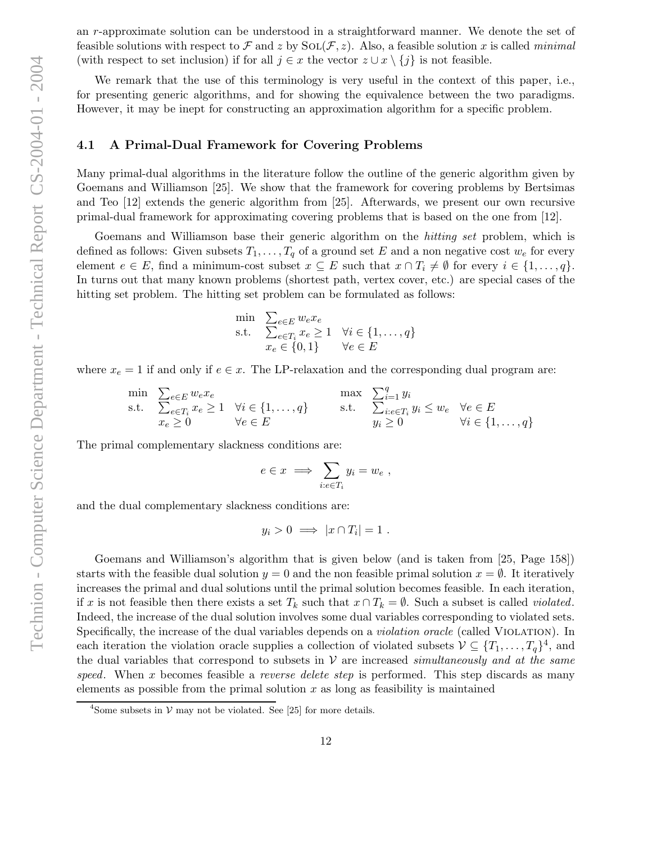an r-approximate solution can be understood in a straightforward manner. We denote the set of feasible solutions with respect to F and z by  $SOL(\mathcal{F}, z)$ . Also, a feasible solution x is called minimal (with respect to set inclusion) if for all  $j \in x$  the vector  $z \cup x \setminus \{j\}$  is not feasible.

We remark that the use of this terminology is very useful in the context of this paper, i.e., for presenting generic algorithms, and for showing the equivalence between the two paradigms. However, it may be inept for constructing an approximation algorithm for a specific problem.

### 4.1 A Primal-Dual Framework for Covering Problems

Many primal-dual algorithms in the literature follow the outline of the generic algorithm given by Goemans and Williamson [25]. We show that the framework for covering problems by Bertsimas and Teo [12] extends the generic algorithm from [25]. Afterwards, we present our own recursive primal-dual framework for approximating covering problems that is based on the one from [12].

Goemans and Williamson base their generic algorithm on the *hitting set* problem, which is defined as follows: Given subsets  $T_1, \ldots, T_q$  of a ground set E and a non negative cost  $w_e$  for every element  $e \in E$ , find a minimum-cost subset  $x \subseteq E$  such that  $x \cap T_i \neq \emptyset$  for every  $i \in \{1, ..., q\}$ . In turns out that many known problems (shortest path, vertex cover, etc.) are special cases of the hitting set problem. The hitting set problem can be formulated as follows:

$$
\begin{array}{ll}\n\min & \sum_{e \in E} w_e x_e \\
\text{s.t.} & \sum_{e \in T_i} x_e \ge 1 \quad \forall i \in \{1, \dots, q\} \\
x_e \in \{0, 1\} & \forall e \in E\n\end{array}
$$

where  $x_e = 1$  if and only if  $e \in x$ . The LP-relaxation and the corresponding dual program are:

$$
\begin{array}{ll}\n\min & \sum_{e \in E} w_e x_e \\
\text{s.t.} & \sum_{e \in T_i} x_e \ge 1 \quad \forall i \in \{1, \dots, q\} \\
x_e \ge 0 \qquad & \forall e \in E\n\end{array}\n\quad\n\begin{array}{ll}\n\max & \sum_{i=1}^q y_i \\
\text{s.t.} & \sum_{i:e \in T_i} y_i \le w_e \quad \forall e \in E \\
y_i \ge 0 \qquad & \forall i \in \{1, \dots, q\}\n\end{array}
$$

The primal complementary slackness conditions are:

$$
e \in x \implies \sum_{i:e \in T_i} y_i = w_e ,
$$

and the dual complementary slackness conditions are:

$$
y_i > 0 \implies |x \cap T_i| = 1.
$$

Goemans and Williamson's algorithm that is given below (and is taken from [25, Page 158]) starts with the feasible dual solution  $y = 0$  and the non feasible primal solution  $x = \emptyset$ . It iteratively increases the primal and dual solutions until the primal solution becomes feasible. In each iteration, if x is not feasible then there exists a set  $T_k$  such that  $x \cap T_k = \emptyset$ . Such a subset is called *violated*. Indeed, the increase of the dual solution involves some dual variables corresponding to violated sets. Specifically, the increase of the dual variables depends on a *violation oracle* (called VIOLATION). In each iteration the violation oracle supplies a collection of violated subsets  $\mathcal{V} \subseteq \{T_1, \ldots, T_q\}^4$ , and the dual variables that correspond to subsets in  $V$  are increased simultaneously and at the same speed. When x becomes feasible a reverse delete step is performed. This step discards as many elements as possible from the primal solution  $x$  as long as feasibility is maintained

<sup>&</sup>lt;sup>4</sup>Some subsets in  $V$  may not be violated. See [25] for more details.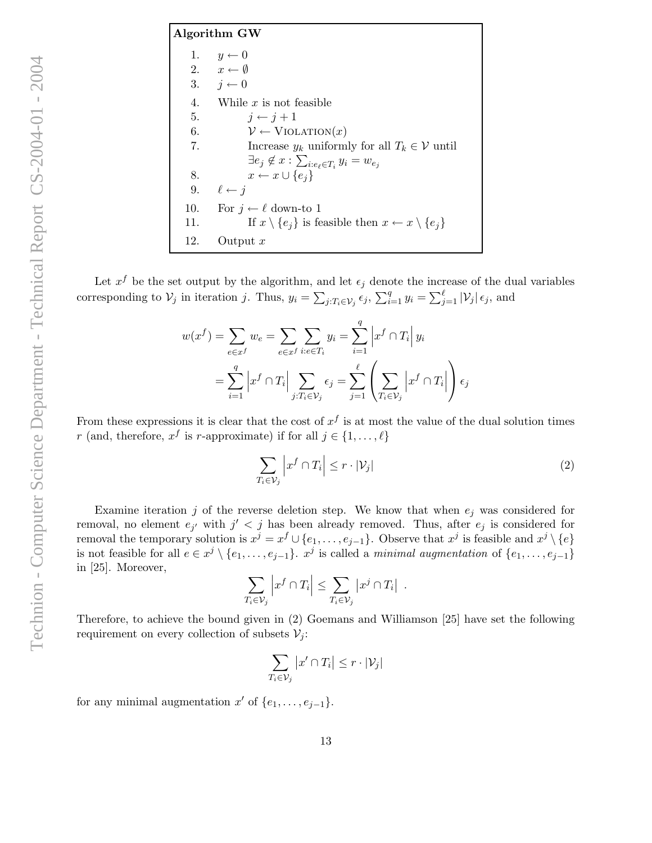# Algorithm GW

| Algorithm GW |                                                                              |  |  |
|--------------|------------------------------------------------------------------------------|--|--|
|              | 1. $y \leftarrow 0$                                                          |  |  |
|              | 2. $x \leftarrow \emptyset$                                                  |  |  |
|              | 3. $j \leftarrow 0$                                                          |  |  |
| 4.           | While $x$ is not feasible                                                    |  |  |
| 5.           | $i \leftarrow i+1$                                                           |  |  |
| 6.           | $\mathcal{V} \leftarrow \text{Vion}(x)$                                      |  |  |
| 7.           | Increase $y_k$ uniformly for all $T_k \in \mathcal{V}$ until                 |  |  |
|              | $\exists e_j \notin x : \sum_{i: e_{\ell} \in T_i} y_i = w_{e_j}$            |  |  |
| 8.           | $x \leftarrow x \cup \{e_i\}$                                                |  |  |
| 9.           | $\ell \leftarrow i$                                                          |  |  |
| 10.          | For $j \leftarrow \ell$ down-to 1                                            |  |  |
| 11.          | If $x \setminus \{e_i\}$ is feasible then $x \leftarrow x \setminus \{e_i\}$ |  |  |
| 12.          | Output $x$                                                                   |  |  |

Let  $x^f$  be the set output by the algorithm, and let  $\epsilon_j$  denote the increase of the dual variables corresponding to  $\mathcal{V}_j$  in iteration j. Thus,  $y_i = \sum_{j:T_i \in \mathcal{V}_j} \epsilon_j$ ,  $\sum_{i=1}^q y_i = \sum_{j=1}^{\ell} |\mathcal{V}_j| \epsilon_j$ , and

$$
w(x^f) = \sum_{e \in x^f} w_e = \sum_{e \in x^f} \sum_{i:e \in T_i} y_i = \sum_{i=1}^q \left| x^f \cap T_i \right| y_i
$$

$$
= \sum_{i=1}^q \left| x^f \cap T_i \right| \sum_{j:T_i \in \mathcal{V}_j} \epsilon_j = \sum_{j=1}^\ell \left( \sum_{T_i \in \mathcal{V}_j} \left| x^f \cap T_i \right| \right) \epsilon_j
$$

From these expressions it is clear that the cost of  $x^f$  is at most the value of the dual solution times r (and, therefore,  $x^f$  is r-approximate) if for all  $j \in \{1, ..., \ell\}$ 

$$
\sum_{T_i \in \mathcal{V}_j} \left| x^f \cap T_i \right| \le r \cdot |\mathcal{V}_j| \tag{2}
$$

Examine iteration j of the reverse deletion step. We know that when  $e_j$  was considered for removal, no element  $e_{j'}$  with  $j' < j$  has been already removed. Thus, after  $e_j$  is considered for removal the temporary solution is  $x^j = x^f \cup \{e_1, \ldots, e_{j-1}\}.$  Observe that  $x^j$  is feasible and  $x^j \setminus \{e\}$ is not feasible for all  $e \in x^j \setminus \{e_1, \ldots, e_{j-1}\}\$ .  $x^j$  is called a *minimal augmentation* of  $\{e_1, \ldots, e_{j-1}\}\$ in [25]. Moreover,

$$
\sum_{T_i \in \mathcal{V}_j} \left| x^f \cap T_i \right| \leq \sum_{T_i \in \mathcal{V}_j} \left| x^j \cap T_i \right| \; .
$$

Therefore, to achieve the bound given in (2) Goemans and Williamson [25] have set the following requirement on every collection of subsets  $V_i$ :

$$
\sum_{T_i \in \mathcal{V}_j} |x' \cap T_i| \leq r \cdot |\mathcal{V}_j|
$$

for any minimal augmentation  $x'$  of  $\{e_1, \ldots, e_{j-1}\}.$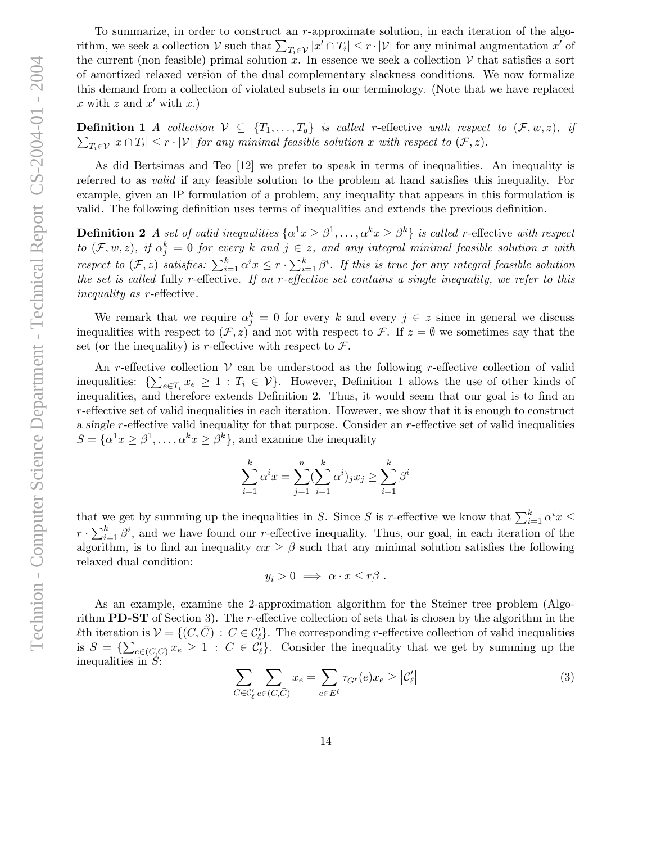To summarize, in order to construct an  $r$ -approximate solution, in each iteration of the algorithm, we seek a collection  $\mathcal V$  such that  $\sum_{T_i \in \mathcal V} |x' \cap T_i| \leq r \cdot |\mathcal V|$  for any minimal augmentation  $x'$  of the current (non feasible) primal solution x. In essence we seek a collection  $\mathcal V$  that satisfies a sort of amortized relaxed version of the dual complementary slackness conditions. We now formalize this demand from a collection of violated subsets in our terminology. (Note that we have replaced x with z and  $x'$  with x.)

 $\sum_{T_i \in \mathcal{V}} |x \cap T_i| \leq r \cdot |\mathcal{V}|$  for any minimal feasible solution x with respect to  $(\mathcal{F}, z)$ . **Definition 1** A collection  $V \subseteq \{T_1, \ldots, T_q\}$  is called r-effective with respect to  $(\mathcal{F}, w, z)$ , if

As did Bertsimas and Teo [12] we prefer to speak in terms of inequalities. An inequality is referred to as valid if any feasible solution to the problem at hand satisfies this inequality. For example, given an IP formulation of a problem, any inequality that appears in this formulation is valid. The following definition uses terms of inequalities and extends the previous definition.

**Definition 2** A set of valid inequalities  $\{\alpha^1 x \geq \beta^1, \ldots, \alpha^k x \geq \beta^k\}$  is called r-effective with respect to  $(\mathcal{F}, w, z)$ , if  $\alpha_j^k = 0$  for every k and  $j \in z$ , and any integral minimal feasible solution x with respect to  $(\mathcal{F}, z)$  satisfies:  $\sum_{i=1}^{k} \alpha^{i} x \leq r \cdot \sum_{i=1}^{k} \beta^{i}$ . If this is true for any integral feasible solution the set is called fully r-effective. If an r-effective set contains a single inequality, we refer to this inequality as r-effective.

We remark that we require  $\alpha_j^k = 0$  for every k and every  $j \in z$  since in general we discuss inequalities with respect to  $(\mathcal{F}, z)$  and not with respect to  $\mathcal{F}$ . If  $z = \emptyset$  we sometimes say that the set (or the inequality) is r-effective with respect to  $\mathcal{F}$ .

An r-effective collection  $V$  can be understood as the following r-effective collection of valid inequalities:  $\{\sum_{e \in T_i} x_e \geq 1 : T_i \in V\}$ . However, Definition 1 allows the use of other kinds of inequalities, and therefore extends Definition 2. Thus, it would seem that our goal is to find an r-effective set of valid inequalities in each iteration. However, we show that it is enough to construct a single r-effective valid inequality for that purpose. Consider an r-effective set of valid inequalities  $S = {\alpha^1 x \geq \beta^1, \ldots, \alpha^k x \geq \beta^k}$ , and examine the inequality

$$
\sum_{i=1}^{k} \alpha^{i} x = \sum_{j=1}^{n} (\sum_{i=1}^{k} \alpha^{i})_{j} x_{j} \ge \sum_{i=1}^{k} \beta^{i}
$$

that we get by summing up the inequalities in S. Since S is r-effective we know that  $\sum_{i=1}^{k} \alpha^i x \leq$  $r \cdot \sum_{i=1}^{k} \beta^{i}$ , and we have found our r-effective inequality. Thus, our goal, in each iteration of the algorithm, is to find an inequality  $\alpha x \geq \beta$  such that any minimal solution satisfies the following relaxed dual condition:

$$
y_i > 0 \implies \alpha \cdot x \leq r\beta.
$$

As an example, examine the 2-approximation algorithm for the Steiner tree problem (Algorithm PD-ST of Section 3). The r-effective collection of sets that is chosen by the algorithm in the Uth iteration is  $\mathcal{V} = \{(C, \bar{C}) : C \in C'_{\ell}\}\$ . The corresponding r-effective collection of valid inequalities is  $S = \{ \sum_{e \in (C, \bar{C})} x_e \geq 1 : C \in C'_{\ell} \}.$  Consider the inequality that we get by summing up the inequalities in  $S$ :

$$
\sum_{C \in \mathcal{C}'_{\ell}} \sum_{e \in (C, \bar{C})} x_e = \sum_{e \in E^{\ell}} \tau_{G^{\ell}}(e) x_e \ge |C'_{\ell}| \tag{3}
$$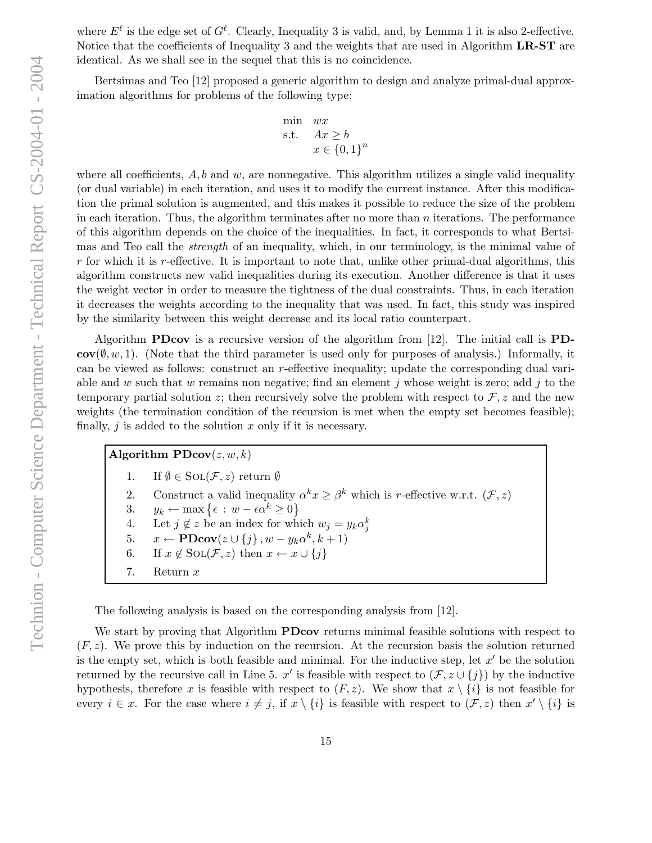where  $E^{\ell}$  is the edge set of  $G^{\ell}$ . Clearly, Inequality 3 is valid, and, by Lemma 1 it is also 2-effective. Notice that the coefficients of Inequality 3 and the weights that are used in Algorithm **LR-ST** are identical. As we shall see in the sequel that this is no coincidence.

Bertsimas and Teo [12] proposed a generic algorithm to design and analyze primal-dual approximation algorithms for problems of the following type:

$$
\begin{array}{ll}\text{min} & wx\\ \text{s.t.} & Ax \geq b\\ & x \in \{0,1\}^n \end{array}
$$

where all coefficients,  $A, b$  and  $w$ , are nonnegative. This algorithm utilizes a single valid inequality (or dual variable) in each iteration, and uses it to modify the current instance. After this modification the primal solution is augmented, and this makes it possible to reduce the size of the problem in each iteration. Thus, the algorithm terminates after no more than  $n$  iterations. The performance of this algorithm depends on the choice of the inequalities. In fact, it corresponds to what Bertsimas and Teo call the strength of an inequality, which, in our terminology, is the minimal value of r for which it is r-effective. It is important to note that, unlike other primal-dual algorithms, this algorithm constructs new valid inequalities during its execution. Another difference is that it uses the weight vector in order to measure the tightness of the dual constraints. Thus, in each iteration it decreases the weights according to the inequality that was used. In fact, this study was inspired by the similarity between this weight decrease and its local ratio counterpart.

Algorithm **PDcov** is a recursive version of the algorithm from [12]. The initial call is **PD** $cov(\emptyset, w, 1)$ . (Note that the third parameter is used only for purposes of analysis.) Informally, it can be viewed as follows: construct an  $r$ -effective inequality; update the corresponding dual variable and w such that w remains non negative; find an element j whose weight is zero; add j to the temporary partial solution z; then recursively solve the problem with respect to  $\mathcal{F}, z$  and the new weights (the termination condition of the recursion is met when the empty set becomes feasible); finally,  $j$  is added to the solution  $x$  only if it is necessary.

Algorithm  $$ 

1. If  $\emptyset \in \text{SOL}(\mathcal{F}, z)$  return  $\emptyset$ 

2. Construct a valid inequality  $\alpha^k x \geq \beta^k$  which is r-effective w.r.t.  $(\mathcal{F}, z)$ 

3.  $y_k \leftarrow \max\left\{ \epsilon : w - \epsilon \alpha^k \geq 0 \right\}$ 

4. Let  $j \notin z$  be an index for which  $w_j = y_k \alpha_j^k$ 

5.  $x \leftarrow \textbf{PDCov}(z \cup \{j\}, w - y_k \alpha^k, k+1)$ 6. If  $x \notin \text{SOL}(\mathcal{F}, z)$  then  $x \leftarrow x \cup \{j\}$ 

7. Return x

The following analysis is based on the corresponding analysis from [12].

We start by proving that Algorithm **PDcov** returns minimal feasible solutions with respect to  $(F, z)$ . We prove this by induction on the recursion. At the recursion basis the solution returned is the empty set, which is both feasible and minimal. For the inductive step, let  $x'$  be the solution returned by the recursive call in Line 5. x' is feasible with respect to  $(\mathcal{F}, z \cup \{j\})$  by the inductive hypothesis, therefore x is feasible with respect to  $(F, z)$ . We show that  $x \setminus \{i\}$  is not feasible for every  $i \in x$ . For the case where  $i \neq j$ , if  $x \setminus \{i\}$  is feasible with respect to  $(\mathcal{F}, z)$  then  $x' \setminus \{i\}$  is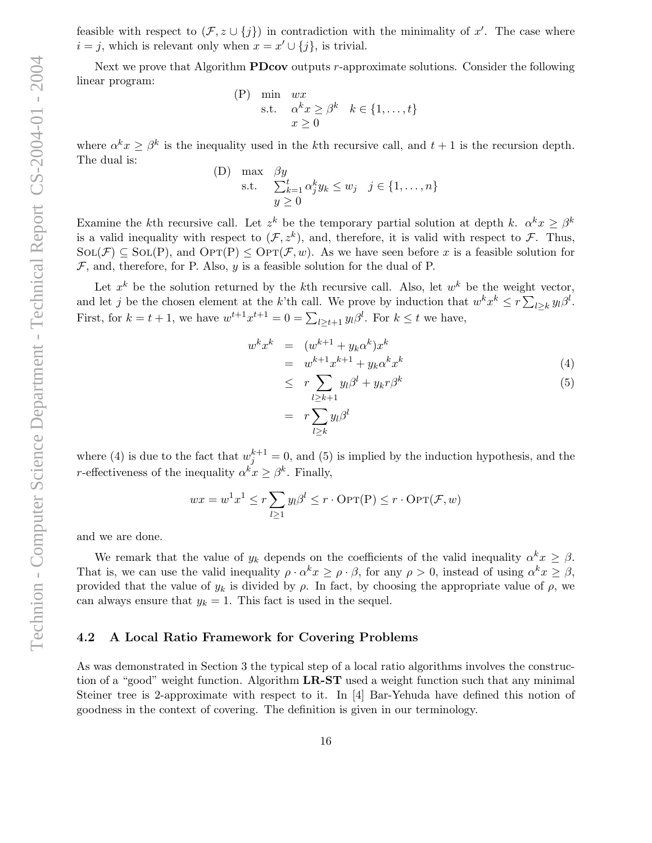feasible with respect to  $(\mathcal{F}, z \cup \{j\})$  in contradiction with the minimality of x'. The case where  $i = j$ , which is relevant only when  $x = x' \cup \{j\}$ , is trivial.

Next we prove that Algorithm **PDcov** outputs r-approximate solutions. Consider the following linear program:

(P) min 
$$
wx
$$
  
\ns.t.  $\alpha^k x \ge \beta^k$   $k \in \{1, ..., t\}$   
\n $x \ge 0$ 

where  $\alpha^k x \geq \beta^k$  is the inequality used in the kth recursive call, and  $t + 1$  is the recursion depth. The dual is:

(D) max 
$$
\beta y
$$
  
s.t.  $\sum_{k=1}^{t} \alpha_j^k y_k \leq w_j$   $j \in \{1, ..., n\}$   
 $y \geq 0$ 

Examine the kth recursive call. Let  $z^k$  be the temporary partial solution at depth k.  $\alpha^k x \geq \beta^k$ is a valid inequality with respect to  $(\mathcal{F}, z^k)$ , and, therefore, it is valid with respect to  $\mathcal{F}$ . Thus,  $SOL(\mathcal{F}) \subseteq SOL(P)$ , and  $OPT(P) \leq OPT(\mathcal{F}, w)$ . As we have seen before x is a feasible solution for  $\mathcal F$ , and, therefore, for P. Also,  $y$  is a feasible solution for the dual of P.

Let  $x^k$  be the solution returned by the k<sup>th</sup> recursive call. Also, let  $w^k$  be the weight vector, and let j be the chosen element at the k'th call. We prove by induction that  $w^k x^k \le r \sum_{l \ge k} y_l \beta^l$ . First, for  $k = t + 1$ , we have  $w^{t+1}x^{t+1} = 0 = \sum_{l \ge t+1} y_l \beta^l$ . For  $k \le t$  we have,

$$
k_{x}^{k} = (w^{k+1} + y_{k}\alpha^{k})x^{k}
$$
  
=  $w^{k+1}x^{k+1} + y_{k}\alpha^{k}x^{k}$  (4)

$$
\leq r \sum_{l \geq k+1} y_l \beta^l + y_k r \beta^k \tag{5}
$$

$$
= r \sum_{l \geq k}^{-1} y_l \beta^l
$$

 $=$ 

where (4) is due to the fact that  $w_j^{k+1} = 0$ , and (5) is implied by the induction hypothesis, and the r-effectiveness of the inequality  $\alpha^k x \geq \beta^k$ . Finally,

$$
wx = w^1x^1 \le r \sum_{l \ge 1} y_l\beta^l \le r \cdot \text{OPT}(P) \le r \cdot \text{OPT}(\mathcal{F}, w)
$$

and we are done.

We remark that the value of  $y_k$  depends on the coefficients of the valid inequality  $\alpha^k x \geq \beta$ . That is, we can use the valid inequality  $\rho \cdot \alpha^k x \ge \rho \cdot \beta$ , for any  $\rho > 0$ , instead of using  $\alpha^k x \ge \beta$ , provided that the value of  $y_k$  is divided by  $\rho$ . In fact, by choosing the appropriate value of  $\rho$ , we can always ensure that  $y_k = 1$ . This fact is used in the sequel.

# 4.2 A Local Ratio Framework for Covering Problems

 $w$ 

As was demonstrated in Section 3 the typical step of a local ratio algorithms involves the construction of a "good" weight function. Algorithm LR-ST used a weight function such that any minimal Steiner tree is 2-approximate with respect to it. In [4] Bar-Yehuda have defined this notion of goodness in the context of covering. The definition is given in our terminology.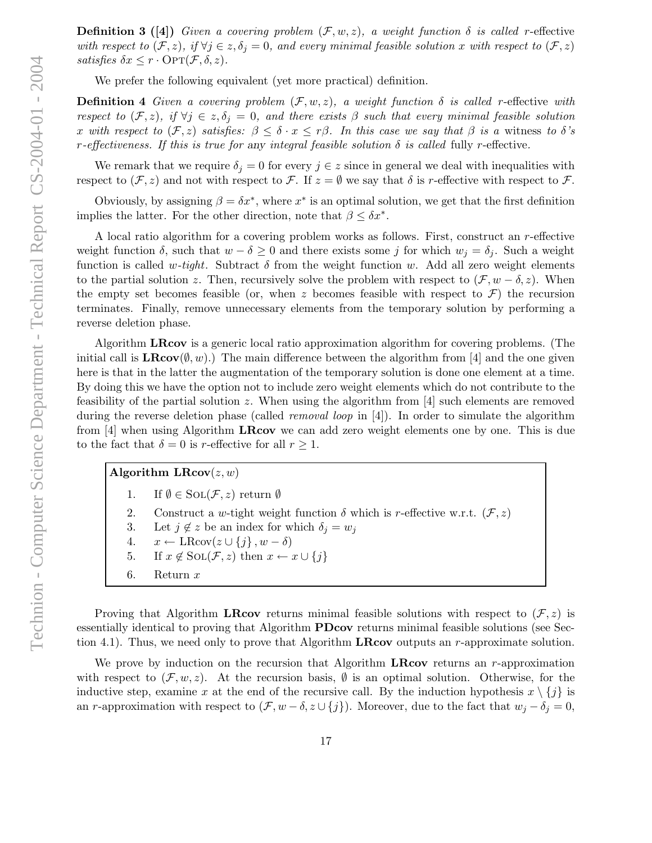**Definition 3 ([4])** Given a covering problem  $(\mathcal{F}, w, z)$ , a weight function  $\delta$  is called r-effective with respect to  $(\mathcal{F}, z)$ , if  $\forall j \in z, \delta_j = 0$ , and every minimal feasible solution x with respect to  $(\mathcal{F}, z)$ satisfies  $\delta x \leq r \cdot \text{OPT}(\mathcal{F}, \delta, z)$ .

We prefer the following equivalent (yet more practical) definition.

**Definition 4** Given a covering problem  $(F, w, z)$ , a weight function  $\delta$  is called r-effective with respect to  $(\mathcal{F}, z)$ , if  $\forall j \in z, \delta_j = 0$ , and there exists  $\beta$  such that every minimal feasible solution x with respect to  $(\mathcal{F}, z)$  satisfies:  $\beta \leq \delta \cdot x \leq r\beta$ . In this case we say that  $\beta$  is a witness to  $\delta$ 's r-effectiveness. If this is true for any integral feasible solution  $\delta$  is called fully r-effective.

We remark that we require  $\delta_j = 0$  for every  $j \in z$  since in general we deal with inequalities with respect to  $(\mathcal{F}, z)$  and not with respect to  $\mathcal{F}$ . If  $z = \emptyset$  we say that  $\delta$  is r-effective with respect to  $\mathcal{F}$ .

Obviously, by assigning  $\beta = \delta x^*$ , where  $x^*$  is an optimal solution, we get that the first definition implies the latter. For the other direction, note that  $\beta \leq \delta x^*$ .

A local ratio algorithm for a covering problem works as follows. First, construct an r-effective weight function  $\delta$ , such that  $w - \delta \geq 0$  and there exists some j for which  $w_j = \delta_j$ . Such a weight function is called w-tight. Subtract  $\delta$  from the weight function w. Add all zero weight elements to the partial solution z. Then, recursively solve the problem with respect to  $(\mathcal{F}, w - \delta, z)$ . When the empty set becomes feasible (or, when z becomes feasible with respect to  $\mathcal{F}$ ) the recursion terminates. Finally, remove unnecessary elements from the temporary solution by performing a reverse deletion phase.

Algorithm **LRcov** is a generic local ratio approximation algorithm for covering problems. (The initial call is  $\textbf{LRcov}(\emptyset, w)$ .) The main difference between the algorithm from [4] and the one given here is that in the latter the augmentation of the temporary solution is done one element at a time. By doing this we have the option not to include zero weight elements which do not contribute to the feasibility of the partial solution z. When using the algorithm from  $|4|$  such elements are removed during the reverse deletion phase (called *removal loop* in  $[4]$ ). In order to simulate the algorithm from [4] when using Algorithm LRcov we can add zero weight elements one by one. This is due to the fact that  $\delta = 0$  is r-effective for all  $r \geq 1$ .

Algorithm  $LRcov(z, w)$ 

1. If  $\emptyset \in \text{SOL}(\mathcal{F}, z)$  return  $\emptyset$ 

2. Construct a w-tight weight function  $\delta$  which is r-effective w.r.t.  $(\mathcal{F}, z)$ 

3. Let  $j \notin z$  be an index for which  $\delta_i = w_j$ 

- 4.  $x \leftarrow \text{LRcov}(z \cup \{j\}, w \delta)$
- 5. If  $x \notin \text{SOL}(\mathcal{F}, z)$  then  $x \leftarrow x \cup \{j\}$
- 6. Return x

Proving that Algorithm LRcov returns minimal feasible solutions with respect to  $(F, z)$  is essentially identical to proving that Algorithm PDcov returns minimal feasible solutions (see Section 4.1). Thus, we need only to prove that Algorithm **LRcov** outputs an r-approximate solution.

We prove by induction on the recursion that Algorithm **LRcov** returns an r-approximation with respect to  $(\mathcal{F}, w, z)$ . At the recursion basis,  $\emptyset$  is an optimal solution. Otherwise, for the inductive step, examine x at the end of the recursive call. By the induction hypothesis  $x \setminus \{j\}$  is an r-approximation with respect to  $(\mathcal{F}, w - \delta, z \cup \{j\})$ . Moreover, due to the fact that  $w_j - \delta_j = 0$ ,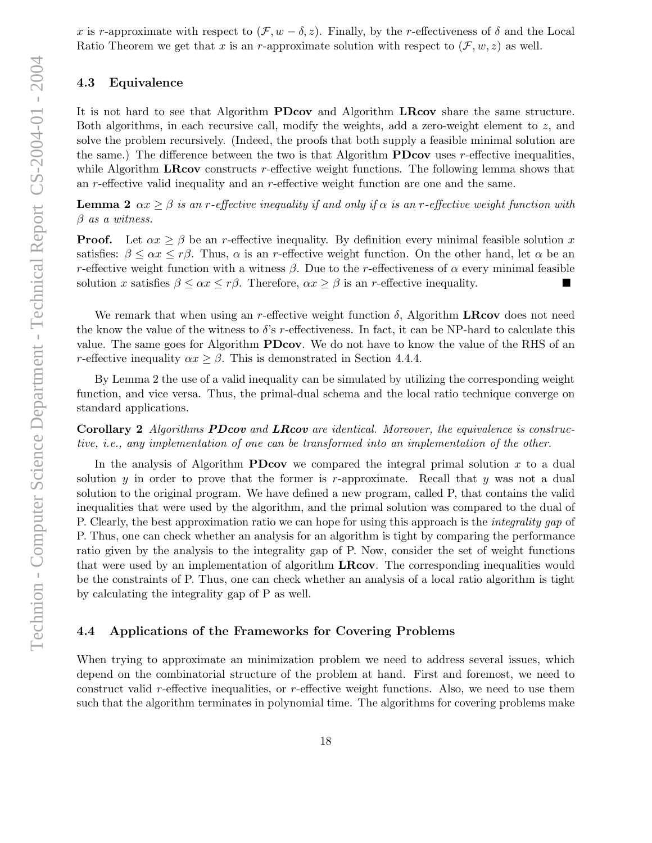x is r-approximate with respect to  $(\mathcal{F}, w - \delta, z)$ . Finally, by the r-effectiveness of  $\delta$  and the Local Ratio Theorem we get that x is an r-approximate solution with respect to  $(\mathcal{F}, w, z)$  as well.

# 4.3 Equivalence

It is not hard to see that Algorithm PDcov and Algorithm LRcov share the same structure. Both algorithms, in each recursive call, modify the weights, add a zero-weight element to  $z$ , and solve the problem recursively. (Indeed, the proofs that both supply a feasible minimal solution are the same.) The difference between the two is that Algorithm **PDcov** uses  $r$ -effective inequalities, while Algorithm LRcov constructs r-effective weight functions. The following lemma shows that an r-effective valid inequality and an r-effective weight function are one and the same.

**Lemma 2**  $\alpha x \geq \beta$  is an r-effective inequality if and only if  $\alpha$  is an r-effective weight function with  $\beta$  as a witness.

**Proof.** Let  $\alpha x \geq \beta$  be an r-effective inequality. By definition every minimal feasible solution x satisfies:  $\beta \leq \alpha x \leq r\beta$ . Thus,  $\alpha$  is an r-effective weight function. On the other hand, let  $\alpha$  be an r-effective weight function with a witness  $\beta$ . Due to the r-effectiveness of  $\alpha$  every minimal feasible solution x satisfies  $\beta \leq \alpha x \leq r\beta$ . Therefore,  $\alpha x \geq \beta$  is an r-effective inequality.

We remark that when using an r-effective weight function  $\delta$ , Algorithm **LRcov** does not need the know the value of the witness to  $\delta$ 's r-effectiveness. In fact, it can be NP-hard to calculate this value. The same goes for Algorithm PDcov. We do not have to know the value of the RHS of an r-effective inequality  $\alpha x \geq \beta$ . This is demonstrated in Section 4.4.4.

By Lemma 2 the use of a valid inequality can be simulated by utilizing the corresponding weight function, and vice versa. Thus, the primal-dual schema and the local ratio technique converge on standard applications.

Corollary 2 Algorithms PDcov and LRcov are identical. Moreover, the equivalence is constructive, i.e., any implementation of one can be transformed into an implementation of the other.

In the analysis of Algorithm **PDcov** we compared the integral primal solution  $x$  to a dual solution y in order to prove that the former is r-approximate. Recall that y was not a dual solution to the original program. We have defined a new program, called P, that contains the valid inequalities that were used by the algorithm, and the primal solution was compared to the dual of P. Clearly, the best approximation ratio we can hope for using this approach is the integrality gap of P. Thus, one can check whether an analysis for an algorithm is tight by comparing the performance ratio given by the analysis to the integrality gap of P. Now, consider the set of weight functions that were used by an implementation of algorithm LRcov. The corresponding inequalities would be the constraints of P. Thus, one can check whether an analysis of a local ratio algorithm is tight by calculating the integrality gap of P as well.

### 4.4 Applications of the Frameworks for Covering Problems

When trying to approximate an minimization problem we need to address several issues, which depend on the combinatorial structure of the problem at hand. First and foremost, we need to construct valid r-effective inequalities, or  $r$ -effective weight functions. Also, we need to use them such that the algorithm terminates in polynomial time. The algorithms for covering problems make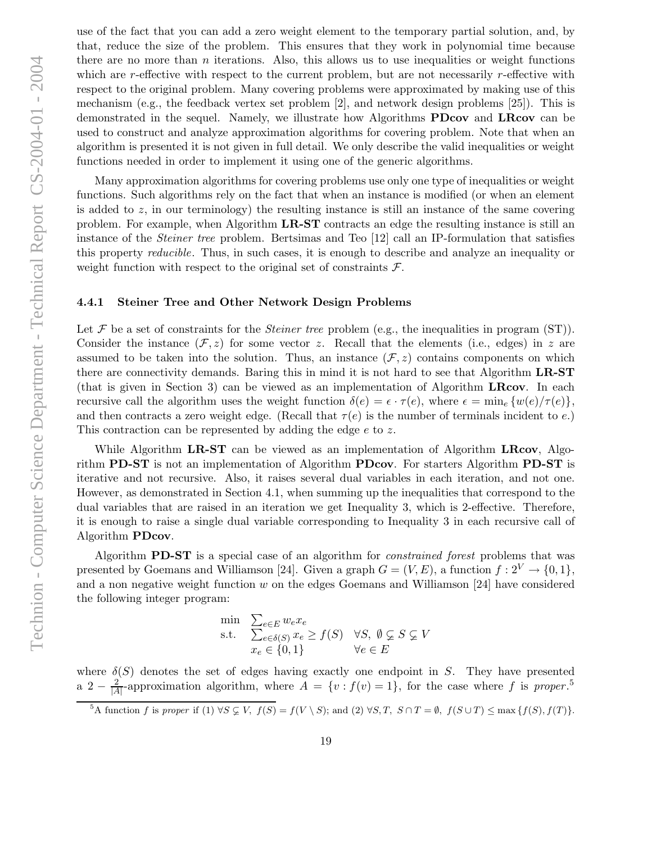use of the fact that you can add a zero weight element to the temporary partial solution, and, by that, reduce the size of the problem. This ensures that they work in polynomial time because there are no more than  $n$  iterations. Also, this allows us to use inequalities or weight functions which are r-effective with respect to the current problem, but are not necessarily r-effective with respect to the original problem. Many covering problems were approximated by making use of this mechanism (e.g., the feedback vertex set problem [2], and network design problems [25]). This is demonstrated in the sequel. Namely, we illustrate how Algorithms PDcov and LRcov can be used to construct and analyze approximation algorithms for covering problem. Note that when an algorithm is presented it is not given in full detail. We only describe the valid inequalities or weight functions needed in order to implement it using one of the generic algorithms.

Many approximation algorithms for covering problems use only one type of inequalities or weight functions. Such algorithms rely on the fact that when an instance is modified (or when an element is added to z, in our terminology) the resulting instance is still an instance of the same covering problem. For example, when Algorithm  $LR-ST$  contracts an edge the resulting instance is still an instance of the Steiner tree problem. Bertsimas and Teo [12] call an IP-formulation that satisfies this property reducible. Thus, in such cases, it is enough to describe and analyze an inequality or weight function with respect to the original set of constraints  $\mathcal{F}$ .

#### 4.4.1 Steiner Tree and Other Network Design Problems

Let  $\mathcal F$  be a set of constraints for the *Steiner tree* problem (e.g., the inequalities in program (ST)). Consider the instance  $(\mathcal{F}, z)$  for some vector z. Recall that the elements (i.e., edges) in z are assumed to be taken into the solution. Thus, an instance  $(\mathcal{F}, z)$  contains components on which there are connectivity demands. Baring this in mind it is not hard to see that Algorithm LR-ST (that is given in Section 3) can be viewed as an implementation of Algorithm LRcov. In each recursive call the algorithm uses the weight function  $\delta(e) = \epsilon \cdot \tau(e)$ , where  $\epsilon = \min_e \{w(e)/\tau(e)\}\,$ and then contracts a zero weight edge. (Recall that  $\tau(e)$  is the number of terminals incident to e.) This contraction can be represented by adding the edge e to z.

While Algorithm LR-ST can be viewed as an implementation of Algorithm LRcov, Algorithm PD-ST is not an implementation of Algorithm PDcov. For starters Algorithm PD-ST is iterative and not recursive. Also, it raises several dual variables in each iteration, and not one. However, as demonstrated in Section 4.1, when summing up the inequalities that correspond to the dual variables that are raised in an iteration we get Inequality 3, which is 2-effective. Therefore, it is enough to raise a single dual variable corresponding to Inequality 3 in each recursive call of Algorithm PDcov.

Algorithm PD-ST is a special case of an algorithm for *constrained forest* problems that was presented by Goemans and Williamson [24]. Given a graph  $G = (V, E)$ , a function  $f: 2^V \to \{0, 1\}$ , and a non negative weight function w on the edges Goemans and Williamson [24] have considered the following integer program:

$$
\begin{array}{ll}\n\min & \sum_{e \in E} w_e x_e \\
\text{s.t.} & \sum_{e \in \delta(S)} x_e \ge f(S) \quad \forall S, \ \emptyset \subsetneq S \subsetneq V \\
& x_e \in \{0, 1\} \quad \forall e \in E\n\end{array}
$$

where  $\delta(S)$  denotes the set of edges having exactly one endpoint in S. They have presented a 2 –  $\frac{2}{|A|}$ -approximation algorithm, where  $A = \{v : f(v) = 1\}$ , for the case where f is proper.<sup>5</sup>

<sup>&</sup>lt;sup>5</sup>A function f is proper if (1)  $\forall S \subsetneq V$ ,  $f(S) = f(V \setminus S)$ ; and (2)  $\forall S, T, S \cap T = \emptyset$ ,  $f(S \cup T) \leq \max\{f(S), f(T)\}.$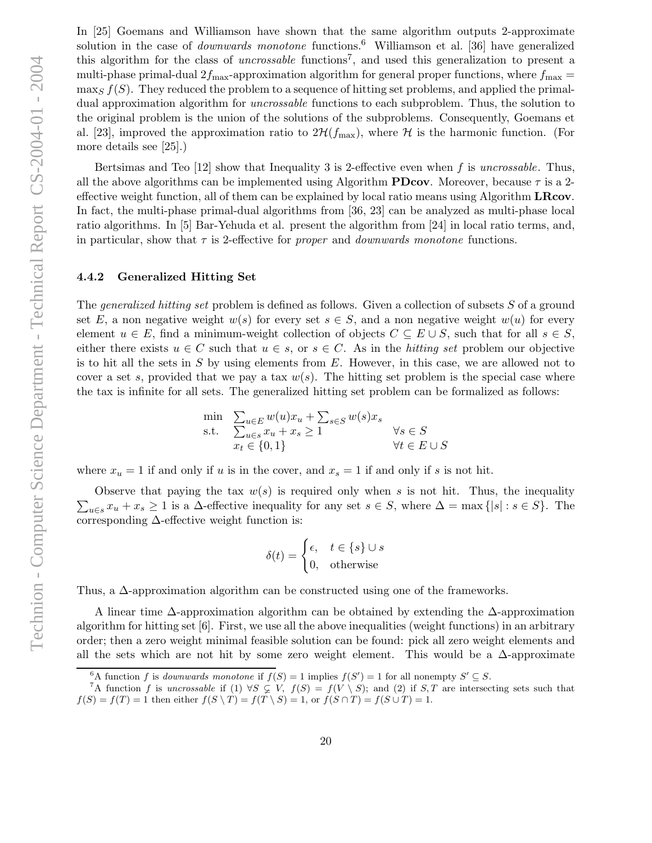In [25] Goemans and Williamson have shown that the same algorithm outputs 2-approximate solution in the case of *downwards monotone* functions.<sup>6</sup> Williamson et al. [36] have generalized this algorithm for the class of *uncrossable* functions<sup>7</sup>, and used this generalization to present a multi-phase primal-dual  $2f_{\text{max}}$ -approximation algorithm for general proper functions, where  $f_{\text{max}} =$  $\max_{S} f(S)$ . They reduced the problem to a sequence of hitting set problems, and applied the primaldual approximation algorithm for *uncrossable* functions to each subproblem. Thus, the solution to the original problem is the union of the solutions of the subproblems. Consequently, Goemans et al. [23], improved the approximation ratio to  $2\mathcal{H}(f_{\text{max}})$ , where H is the harmonic function. (For more details see [25].)

Bertsimas and Teo  $[12]$  show that Inequality 3 is 2-effective even when f is *uncrossable*. Thus, all the above algorithms can be implemented using Algorithm **PDcov**. Moreover, because  $\tau$  is a 2effective weight function, all of them can be explained by local ratio means using Algorithm  $LRcov$ . In fact, the multi-phase primal-dual algorithms from [36, 23] can be analyzed as multi-phase local ratio algorithms. In [5] Bar-Yehuda et al. present the algorithm from [24] in local ratio terms, and, in particular, show that  $\tau$  is 2-effective for *proper* and *downwards monotone* functions.

### 4.4.2 Generalized Hitting Set

The *generalized hitting set* problem is defined as follows. Given a collection of subsets S of a ground set E, a non negative weight  $w(s)$  for every set  $s \in S$ , and a non negative weight  $w(u)$  for every element  $u \in E$ , find a minimum-weight collection of objects  $C \subseteq E \cup S$ , such that for all  $s \in S$ , either there exists  $u \in C$  such that  $u \in s$ , or  $s \in C$ . As in the *hitting set* problem our objective is to hit all the sets in  $S$  by using elements from  $E$ . However, in this case, we are allowed not to cover a set s, provided that we pay a tax  $w(s)$ . The hitting set problem is the special case where the tax is infinite for all sets. The generalized hitting set problem can be formalized as follows:

min 
$$
\sum_{u \in E} w(u)x_u + \sum_{s \in S} w(s)x_s
$$
  
s.t.  $\sum_{u \in s} x_u + x_s \ge 1$   $\forall s \in S$   
 $x_t \in \{0, 1\}$   $\forall t \in E \cup S$ 

where  $x_u = 1$  if and only if u is in the cover, and  $x_s = 1$  if and only if s is not hit.

 $\sum_{u\in s} x_u + x_s \ge 1$  is a  $\Delta$ -effective inequality for any set  $s \in S$ , where  $\Delta = \max\{|s| : s \in S\}$ . The Observe that paying the tax  $w(s)$  is required only when s is not hit. Thus, the inequality corresponding ∆-effective weight function is:

$$
\delta(t) = \begin{cases} \epsilon, & t \in \{s\} \cup s \\ 0, & \text{otherwise} \end{cases}
$$

Thus, a ∆-approximation algorithm can be constructed using one of the frameworks.

A linear time ∆-approximation algorithm can be obtained by extending the ∆-approximation algorithm for hitting set [6]. First, we use all the above inequalities (weight functions) in an arbitrary order; then a zero weight minimal feasible solution can be found: pick all zero weight elements and all the sets which are not hit by some zero weight element. This would be a  $\Delta$ -approximate

<sup>&</sup>lt;sup>6</sup>A function f is downwards monotone if  $f(S) = 1$  implies  $f(S') = 1$  for all nonempty  $S' \subseteq S$ .

<sup>&</sup>lt;sup>7</sup>A function f is uncrossable if (1)  $\forall S \subsetneq V$ ,  $f(S) = f(V \setminus S)$ ; and (2) if S, T are intersecting sets such that  $f(S) = f(T) = 1$  then either  $f(S \setminus T) = f(T \setminus S) = 1$ , or  $f(S \cap T) = f(S \cup T) = 1$ .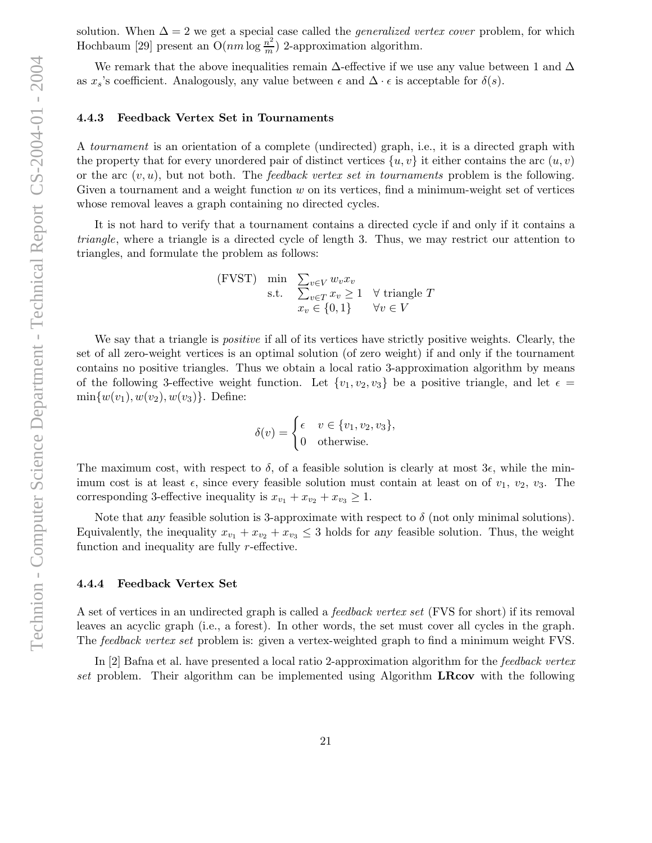solution. When  $\Delta = 2$  we get a special case called the *generalized vertex cover* problem, for which Hochbaum [29] present an  $O(nm \log \frac{n^2}{m})$  $\frac{m^2}{m}$ ) 2-approximation algorithm.

We remark that the above inequalities remain  $\Delta$ -effective if we use any value between 1 and  $\Delta$ as  $x_s$ 's coefficient. Analogously, any value between  $\epsilon$  and  $\Delta \cdot \epsilon$  is acceptable for  $\delta(s)$ .

### 4.4.3 Feedback Vertex Set in Tournaments

A tournament is an orientation of a complete (undirected) graph, i.e., it is a directed graph with the property that for every unordered pair of distinct vertices  $\{u, v\}$  it either contains the arc  $(u, v)$ or the arc  $(v, u)$ , but not both. The *feedback vertex set in tournaments* problem is the following. Given a tournament and a weight function  $w$  on its vertices, find a minimum-weight set of vertices whose removal leaves a graph containing no directed cycles.

It is not hard to verify that a tournament contains a directed cycle if and only if it contains a triangle, where a triangle is a directed cycle of length 3. Thus, we may restrict our attention to triangles, and formulate the problem as follows:

(FVST) min 
$$
\sum_{v \in V} w_v x_v
$$
  
s.t.  $\sum_{v \in T} x_v \ge 1 \quad \forall \text{ triangle } T$   
 $x_v \in \{0, 1\} \quad \forall v \in V$ 

We say that a triangle is *positive* if all of its vertices have strictly positive weights. Clearly, the set of all zero-weight vertices is an optimal solution (of zero weight) if and only if the tournament contains no positive triangles. Thus we obtain a local ratio 3-approximation algorithm by means of the following 3-effective weight function. Let  $\{v_1, v_2, v_3\}$  be a positive triangle, and let  $\epsilon =$  $\min\{w(v_1), w(v_2), w(v_3)\}.$  Define:

$$
\delta(v) = \begin{cases} \epsilon & v \in \{v_1, v_2, v_3\}, \\ 0 & \text{otherwise.} \end{cases}
$$

The maximum cost, with respect to  $\delta$ , of a feasible solution is clearly at most  $3\epsilon$ , while the minimum cost is at least  $\epsilon$ , since every feasible solution must contain at least on of  $v_1, v_2, v_3$ . The corresponding 3-effective inequality is  $x_{v_1} + x_{v_2} + x_{v_3} \geq 1$ .

Note that any feasible solution is 3-approximate with respect to  $\delta$  (not only minimal solutions). Equivalently, the inequality  $x_{v_1} + x_{v_2} + x_{v_3} \leq 3$  holds for any feasible solution. Thus, the weight function and inequality are fully r-effective.

#### 4.4.4 Feedback Vertex Set

A set of vertices in an undirected graph is called a feedback vertex set (FVS for short) if its removal leaves an acyclic graph (i.e., a forest). In other words, the set must cover all cycles in the graph. The *feedback vertex set* problem is: given a vertex-weighted graph to find a minimum weight FVS.

In [2] Bafna et al. have presented a local ratio 2-approximation algorithm for the feedback vertex set problem. Their algorithm can be implemented using Algorithm **LRcov** with the following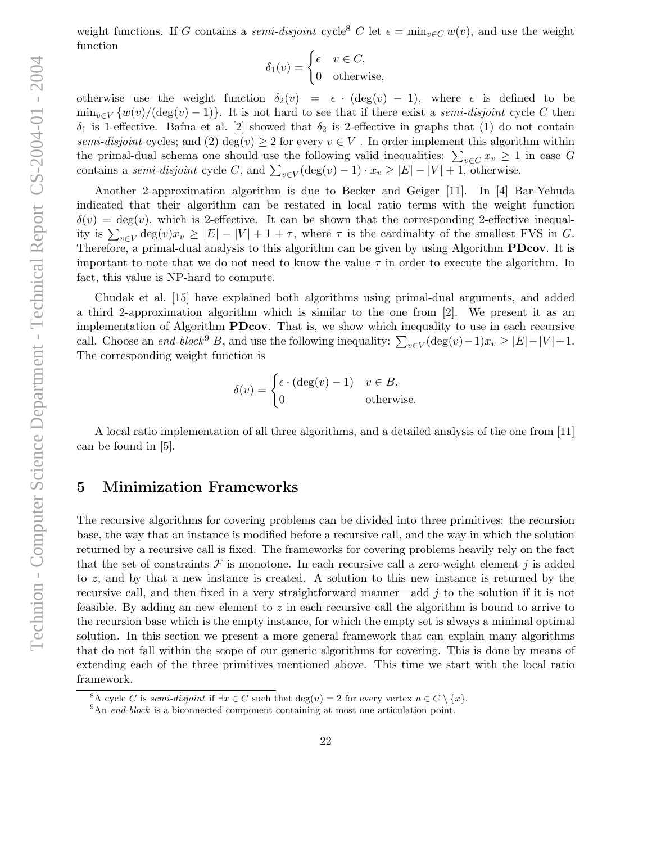weight functions. If G contains a semi-disjoint cycle<sup>8</sup> C let  $\epsilon = \min_{v \in C} w(v)$ , and use the weight function

$$
\delta_1(v) = \begin{cases} \epsilon & v \in C, \\ 0 & \text{otherwise,} \end{cases}
$$

otherwise use the weight function  $\delta_2(v) = \epsilon \cdot (\deg(v) - 1)$ , where  $\epsilon$  is defined to be  $\min_{v \in V} \{w(v)/(\deg(v) - 1)\}\.$  It is not hard to see that if there exist a semi-disjoint cycle C then  $\delta_1$  is 1-effective. Bafna et al. [2] showed that  $\delta_2$  is 2-effective in graphs that (1) do not contain semi-disjoint cycles; and (2) deg(v)  $\geq 2$  for every  $v \in V$ . In order implement this algorithm within the primal-dual schema one should use the following valid inequalities:  $\sum_{v \in C} x_v \ge 1$  in case G contains a *semi-disjoint* cycle C, and  $\sum_{v \in V} (\deg(v) - 1) \cdot x_v \ge |E| - |V| + 1$ , otherwise.

Another 2-approximation algorithm is due to Becker and Geiger [11]. In [4] Bar-Yehuda indicated that their algorithm can be restated in local ratio terms with the weight function  $\delta(v) = \deg(v)$ , which is 2-effective. It can be shown that the corresponding 2-effective inequality is  $\sum_{v \in V} \deg(v)x_v \ge |E| - |V| + 1 + \tau$ , where  $\tau$  is the cardinality of the smallest FVS in G. Therefore, a primal-dual analysis to this algorithm can be given by using Algorithm **PDcov**. It is important to note that we do not need to know the value  $\tau$  in order to execute the algorithm. In fact, this value is NP-hard to compute.

Chudak et al. [15] have explained both algorithms using primal-dual arguments, and added a third 2-approximation algorithm which is similar to the one from [2]. We present it as an implementation of Algorithm PDcov. That is, we show which inequality to use in each recursive call. Choose an *end-block*<sup>9</sup> B, and use the following inequality:  $\sum_{v \in V} (\deg(v) - 1)x_v \ge |E| - |V| + 1$ . The corresponding weight function is

$$
\delta(v) = \begin{cases} \epsilon \cdot (\deg(v) - 1) & v \in B, \\ 0 & \text{otherwise.} \end{cases}
$$

A local ratio implementation of all three algorithms, and a detailed analysis of the one from [11] can be found in [5].

# 5 Minimization Frameworks

The recursive algorithms for covering problems can be divided into three primitives: the recursion base, the way that an instance is modified before a recursive call, and the way in which the solution returned by a recursive call is fixed. The frameworks for covering problems heavily rely on the fact that the set of constraints  $\mathcal F$  is monotone. In each recursive call a zero-weight element j is added to z, and by that a new instance is created. A solution to this new instance is returned by the recursive call, and then fixed in a very straightforward manner—add j to the solution if it is not feasible. By adding an new element to  $z$  in each recursive call the algorithm is bound to arrive to the recursion base which is the empty instance, for which the empty set is always a minimal optimal solution. In this section we present a more general framework that can explain many algorithms that do not fall within the scope of our generic algorithms for covering. This is done by means of extending each of the three primitives mentioned above. This time we start with the local ratio framework.

<sup>&</sup>lt;sup>8</sup>A cycle C is semi-disjoint if  $\exists x \in C$  such that  $\deg(u) = 2$  for every vertex  $u \in C \setminus \{x\}.$ 

 $9^9$ An *end-block* is a biconnected component containing at most one articulation point.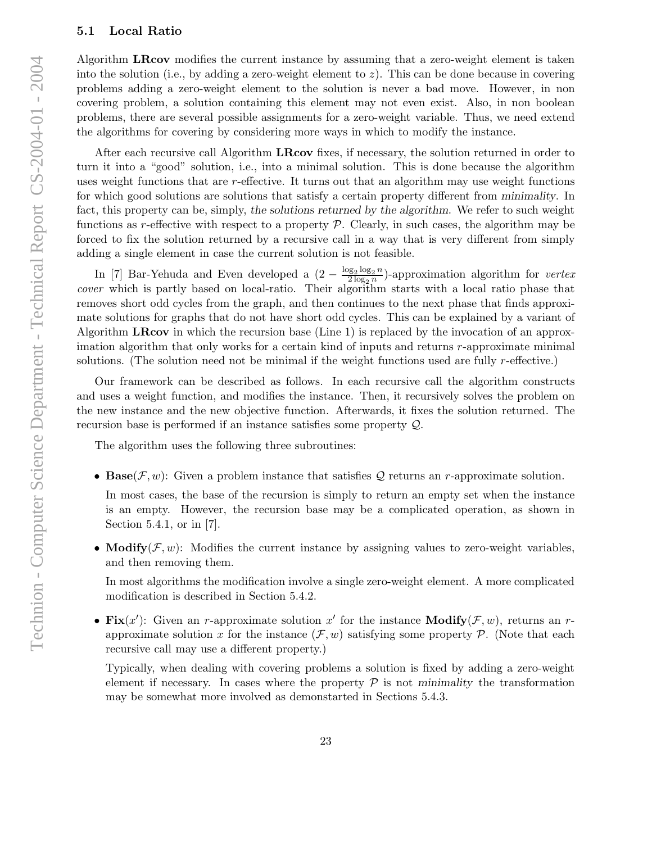Algorithm **LRcov** modifies the current instance by assuming that a zero-weight element is taken into the solution (i.e., by adding a zero-weight element to  $z$ ). This can be done because in covering problems adding a zero-weight element to the solution is never a bad move. However, in non covering problem, a solution containing this element may not even exist. Also, in non boolean problems, there are several possible assignments for a zero-weight variable. Thus, we need extend the algorithms for covering by considering more ways in which to modify the instance.

After each recursive call Algorithm LRcov fixes, if necessary, the solution returned in order to turn it into a "good" solution, i.e., into a minimal solution. This is done because the algorithm uses weight functions that are  $r$ -effective. It turns out that an algorithm may use weight functions for which good solutions are solutions that satisfy a certain property different from minimality. In fact, this property can be, simply, the solutions returned by the algorithm. We refer to such weight functions as r-effective with respect to a property  $P$ . Clearly, in such cases, the algorithm may be forced to fix the solution returned by a recursive call in a way that is very different from simply adding a single element in case the current solution is not feasible.

In [7] Bar-Yehuda and Even developed a  $\left(2-\frac{\log_2\log_2 n}{2\log_2 n}\right)$  $\frac{2 \log_2 n}{2 \log_2 n}$  -approximation algorithm for vertex cover which is partly based on local-ratio. Their algorithm starts with a local ratio phase that removes short odd cycles from the graph, and then continues to the next phase that finds approximate solutions for graphs that do not have short odd cycles. This can be explained by a variant of Algorithm LRcov in which the recursion base (Line 1) is replaced by the invocation of an approximation algorithm that only works for a certain kind of inputs and returns r-approximate minimal solutions. (The solution need not be minimal if the weight functions used are fully r-effective.)

Our framework can be described as follows. In each recursive call the algorithm constructs and uses a weight function, and modifies the instance. Then, it recursively solves the problem on the new instance and the new objective function. Afterwards, it fixes the solution returned. The recursion base is performed if an instance satisfies some property Q.

The algorithm uses the following three subroutines:

• Base( $\mathcal{F}, w$ ): Given a problem instance that satisfies Q returns an r-approximate solution.

In most cases, the base of the recursion is simply to return an empty set when the instance is an empty. However, the recursion base may be a complicated operation, as shown in Section 5.4.1, or in [7].

• Modify $(F, w)$ : Modifies the current instance by assigning values to zero-weight variables, and then removing them.

In most algorithms the modification involve a single zero-weight element. A more complicated modification is described in Section 5.4.2.

• Fix $(x')$ : Given an r-approximate solution x' for the instance **Modify** $(\mathcal{F}, w)$ , returns an rapproximate solution x for the instance  $(F, w)$  satisfying some property P. (Note that each recursive call may use a different property.)

Typically, when dealing with covering problems a solution is fixed by adding a zero-weight element if necessary. In cases where the property  $P$  is not minimality the transformation may be somewhat more involved as demonstarted in Sections 5.4.3.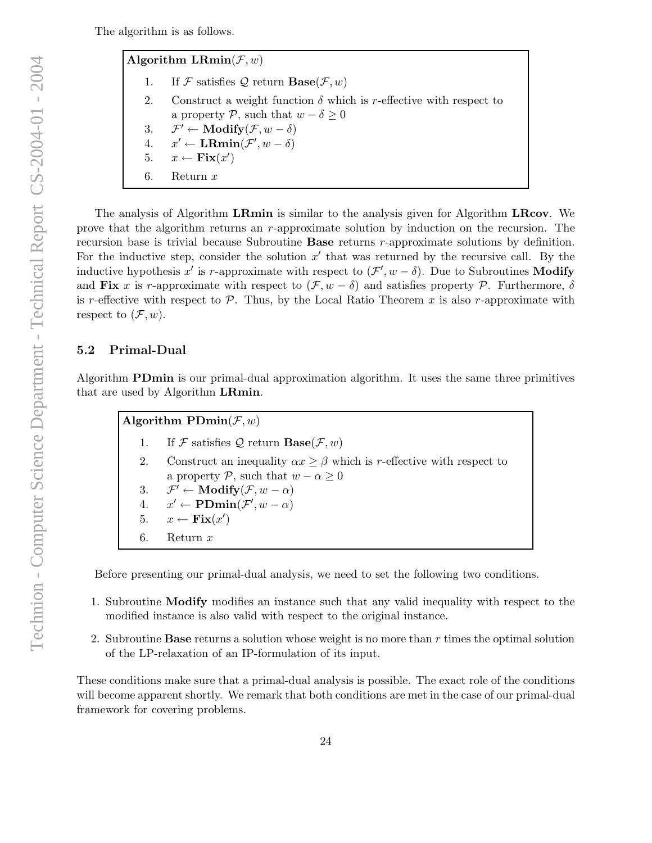| Algorithm LRmin $(F, w)$ |                                                                                                                          |  |  |  |
|--------------------------|--------------------------------------------------------------------------------------------------------------------------|--|--|--|
| 1.                       | If F satisfies Q return <b>Base</b> $(F, w)$                                                                             |  |  |  |
| 2.                       | Construct a weight function $\delta$ which is r-effective with respect to<br>a property P, such that $w - \delta \geq 0$ |  |  |  |
|                          | 3. $\mathcal{F}' \leftarrow \textbf{Modify}(\mathcal{F}, w - \delta)$                                                    |  |  |  |
|                          | 4. $x' \leftarrow \mathbf{LRmin}(\mathcal{F}', w - \delta)$                                                              |  |  |  |
|                          | 5. $x \leftarrow$ Fix $(x')$                                                                                             |  |  |  |
| 6.                       | Return $x$                                                                                                               |  |  |  |

The analysis of Algorithm **LRmin** is similar to the analysis given for Algorithm **LRcov**. We prove that the algorithm returns an r-approximate solution by induction on the recursion. The recursion base is trivial because Subroutine Base returns r-approximate solutions by definition. For the inductive step, consider the solution  $x'$  that was returned by the recursive call. By the inductive hypothesis x' is r-approximate with respect to  $(\mathcal{F}', w - \delta)$ . Due to Subroutines Modify and Fix x is r-approximate with respect to  $(\mathcal{F}, w - \delta)$  and satisfies property P. Furthermore,  $\delta$ is r-effective with respect to  $\mathcal{P}$ . Thus, by the Local Ratio Theorem x is also r-approximate with respect to  $(\mathcal{F}, w)$ .

# 5.2 Primal-Dual

Algorithm PDmin is our primal-dual approximation algorithm. It uses the same three primitives that are used by Algorithm LRmin.

Algorithm  $\text{PDmin}(\mathcal{F}, w)$ 1. If F satisfies Q return  $\text{Base}(\mathcal{F}, w)$ 

2. Construct an inequality  $\alpha x \geq \beta$  which is r-effective with respect to a property P, such that  $w - \alpha \geq 0$ 3.  $\mathcal{F}' \leftarrow \textbf{Modify}(\mathcal{F}, w - \alpha)$ 

 $4.$  $\mathcal{C}' \leftarrow \textbf{PDmin}(\mathcal{F}', w - \alpha)$ 

5.  $x \leftarrow \textbf{Fix}(x')$ 

6. Return x

Before presenting our primal-dual analysis, we need to set the following two conditions.

- 1. Subroutine Modify modifies an instance such that any valid inequality with respect to the modified instance is also valid with respect to the original instance.
- 2. Subroutine **Base** returns a solution whose weight is no more than  $r$  times the optimal solution of the LP-relaxation of an IP-formulation of its input.

These conditions make sure that a primal-dual analysis is possible. The exact role of the conditions will become apparent shortly. We remark that both conditions are met in the case of our primal-dual framework for covering problems.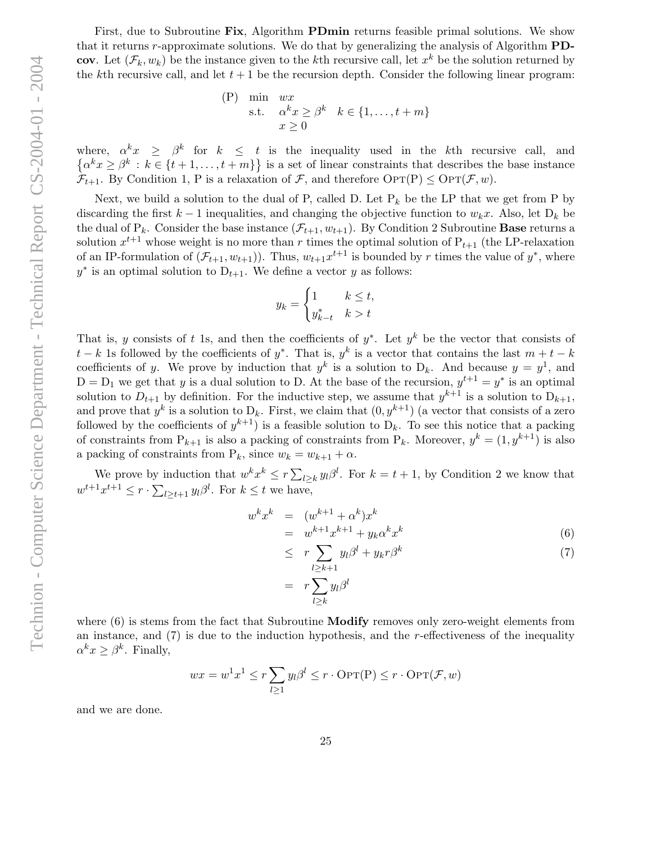First, due to Subroutine Fix, Algorithm PDmin returns feasible primal solutions. We show that it returns r-approximate solutions. We do that by generalizing the analysis of Algorithm PDcov. Let  $(\mathcal{F}_k, w_k)$  be the instance given to the kth recursive call, let  $x^k$  be the solution returned by the kth recursive call, and let  $t + 1$  be the recursion depth. Consider the following linear program:

(P) min 
$$
wx
$$
  
\ns.t.  $\alpha^k x \ge \beta^k$   $k \in \{1, ..., t + m\}$   
\n $x \ge 0$ 

where,  $\alpha^k x \geq \beta^k$  for  $k \leq t$  is the inequality used in the kth recursive call, and  $\{\alpha^k x \geq \beta^k : k \in \{t+1,\ldots,t+m\}\}\$ is a set of linear constraints that describes the base instance  $\mathcal{F}_{t+1}$ . By Condition 1, P is a relaxation of  $\mathcal{F}$ , and therefore  $\text{OPT}(P) \leq \text{OPT}(\mathcal{F},w)$ .

Next, we build a solution to the dual of P, called D. Let  $P_k$  be the LP that we get from P by discarding the first  $k-1$  inequalities, and changing the objective function to  $w_k x$ . Also, let  $D_k$  be the dual of  $P_k$ . Consider the base instance  $(\mathcal{F}_{t+1}, w_{t+1})$ . By Condition 2 Subroutine **Base** returns a solution  $x^{t+1}$  whose weight is no more than r times the optimal solution of  $P_{t+1}$  (the LP-relaxation of an IP-formulation of  $(\mathcal{F}_{t+1}, w_{t+1})$ . Thus,  $w_{t+1}x^{t+1}$  is bounded by r times the value of  $y^*$ , where  $y^*$  is an optimal solution to  $D_{t+1}$ . We define a vector y as follows:

$$
y_k = \begin{cases} 1 & k \le t, \\ y_{k-t}^* & k > t \end{cases}
$$

That is, y consists of t 1s, and then the coefficients of  $y^*$ . Let  $y^k$  be the vector that consists of  $t - k$  1s followed by the coefficients of y<sup>\*</sup>. That is, y<sup>k</sup> is a vector that contains the last  $m + t - k$ coefficients of y. We prove by induction that  $y^k$  is a solution to  $D_k$ . And because  $y = y^1$ , and  $D = D_1$  we get that y is a dual solution to D. At the base of the recursion,  $y^{t+1} = y^*$  is an optimal solution to  $D_{t+1}$  by definition. For the inductive step, we assume that  $y^{k+1}$  is a solution to  $D_{k+1}$ , and prove that  $y^k$  is a solution to  $D_k$ . First, we claim that  $(0, y^{k+1})$  (a vector that consists of a zero followed by the coefficients of  $y^{k+1}$ ) is a feasible solution to  $D_k$ . To see this notice that a packing of constraints from  $P_{k+1}$  is also a packing of constraints from  $P_k$ . Moreover,  $y^k = (1, y^{k+1})$  is also a packing of constraints from  $P_k$ , since  $w_k = w_{k+1} + \alpha$ .

We prove by induction that  $w^k x^k \leq r \sum_{l \geq k} y_l \beta^l$ . For  $k = t + 1$ , by Condition 2 we know that  $w^{t+1}x^{t+1} \leq r \cdot \sum_{l \geq t+1} y_l \beta^l$ . For  $k \leq t$  we have,

$$
w^{k}x^{k} = (w^{k+1} + \alpha^{k})x^{k}
$$
  
= 
$$
w^{k+1}x^{k+1} + y_{k}\alpha^{k}x^{k}
$$
 (6)

$$
\leq r \sum_{l>k+1} y_l \beta^l + y_k r \beta^k \tag{7}
$$

$$
r \sum_{l \geq k} y_l \beta^l
$$

where  $(6)$  is stems from the fact that Subroutine **Modify** removes only zero-weight elements from an instance, and  $(7)$  is due to the induction hypothesis, and the r-effectiveness of the inequality  $\alpha^k x \geq \beta^k$ . Finally,

= r

$$
wx = w^1x^1 \le r \sum_{l \ge 1} y_l\beta^l \le r \cdot \text{OPT}(P) \le r \cdot \text{OPT}(\mathcal{F}, w)
$$

and we are done.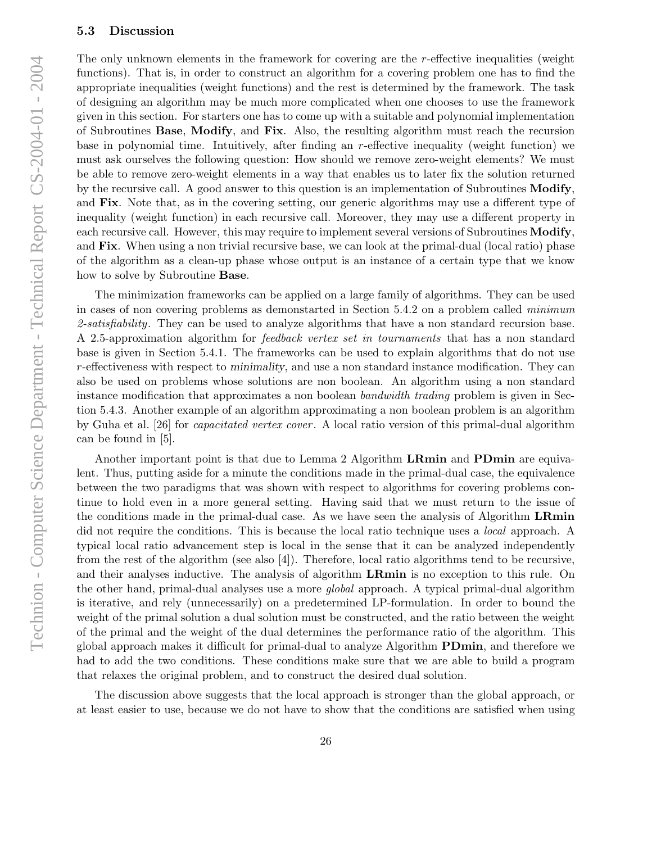#### 5.3 Discussion

The only unknown elements in the framework for covering are the  $r$ -effective inequalities (weight functions). That is, in order to construct an algorithm for a covering problem one has to find the appropriate inequalities (weight functions) and the rest is determined by the framework. The task of designing an algorithm may be much more complicated when one chooses to use the framework given in this section. For starters one has to come up with a suitable and polynomial implementation of Subroutines Base, Modify, and Fix. Also, the resulting algorithm must reach the recursion base in polynomial time. Intuitively, after finding an  $r$ -effective inequality (weight function) we must ask ourselves the following question: How should we remove zero-weight elements? We must be able to remove zero-weight elements in a way that enables us to later fix the solution returned by the recursive call. A good answer to this question is an implementation of Subroutines Modify, and Fix. Note that, as in the covering setting, our generic algorithms may use a different type of inequality (weight function) in each recursive call. Moreover, they may use a different property in each recursive call. However, this may require to implement several versions of Subroutines Modify, and Fix. When using a non trivial recursive base, we can look at the primal-dual (local ratio) phase of the algorithm as a clean-up phase whose output is an instance of a certain type that we know how to solve by Subroutine Base.

The minimization frameworks can be applied on a large family of algorithms. They can be used in cases of non covering problems as demonstarted in Section 5.4.2 on a problem called minimum 2-satisfiability. They can be used to analyze algorithms that have a non standard recursion base. A 2.5-approximation algorithm for *feedback vertex set in tournaments* that has a non standard base is given in Section 5.4.1. The frameworks can be used to explain algorithms that do not use r-effectiveness with respect to minimality, and use a non standard instance modification. They can also be used on problems whose solutions are non boolean. An algorithm using a non standard instance modification that approximates a non boolean *bandwidth trading* problem is given in Section 5.4.3. Another example of an algorithm approximating a non boolean problem is an algorithm by Guha et al. [26] for capacitated vertex cover . A local ratio version of this primal-dual algorithm can be found in [5].

Another important point is that due to Lemma 2 Algorithm **LRmin** and **PDmin** are equivalent. Thus, putting aside for a minute the conditions made in the primal-dual case, the equivalence between the two paradigms that was shown with respect to algorithms for covering problems continue to hold even in a more general setting. Having said that we must return to the issue of the conditions made in the primal-dual case. As we have seen the analysis of Algorithm LRmin did not require the conditions. This is because the local ratio technique uses a *local* approach. A typical local ratio advancement step is local in the sense that it can be analyzed independently from the rest of the algorithm (see also [4]). Therefore, local ratio algorithms tend to be recursive, and their analyses inductive. The analysis of algorithm **LRmin** is no exception to this rule. On the other hand, primal-dual analyses use a more global approach. A typical primal-dual algorithm is iterative, and rely (unnecessarily) on a predetermined LP-formulation. In order to bound the weight of the primal solution a dual solution must be constructed, and the ratio between the weight of the primal and the weight of the dual determines the performance ratio of the algorithm. This global approach makes it difficult for primal-dual to analyze Algorithm PDmin, and therefore we had to add the two conditions. These conditions make sure that we are able to build a program that relaxes the original problem, and to construct the desired dual solution.

The discussion above suggests that the local approach is stronger than the global approach, or at least easier to use, because we do not have to show that the conditions are satisfied when using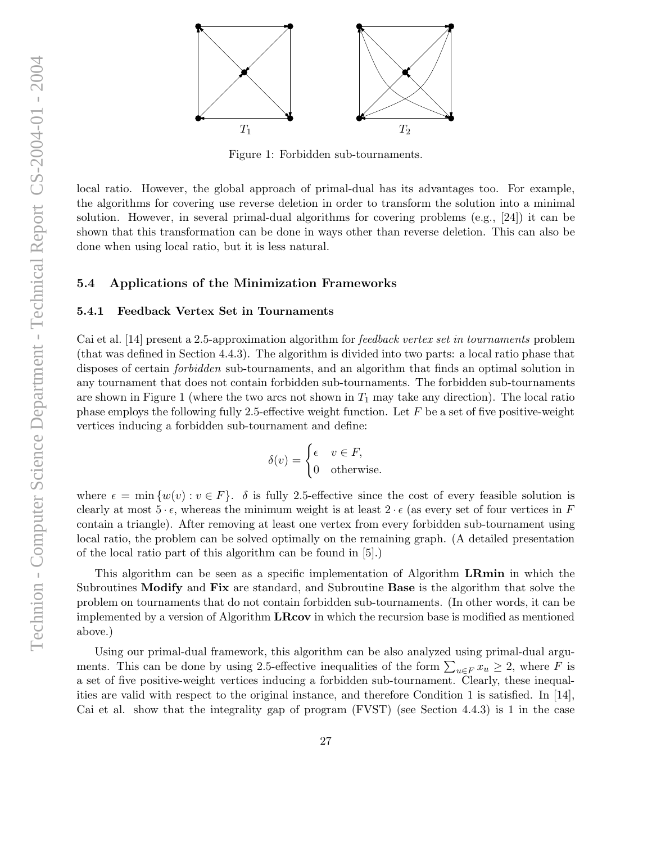

Figure 1: Forbidden sub-tournaments.

local ratio. However, the global approach of primal-dual has its advantages too. For example, the algorithms for covering use reverse deletion in order to transform the solution into a minimal solution. However, in several primal-dual algorithms for covering problems (e.g., [24]) it can be shown that this transformation can be done in ways other than reverse deletion. This can also be done when using local ratio, but it is less natural.

# 5.4 Applications of the Minimization Frameworks

#### 5.4.1 Feedback Vertex Set in Tournaments

Cai et al. [14] present a 2.5-approximation algorithm for feedback vertex set in tournaments problem (that was defined in Section 4.4.3). The algorithm is divided into two parts: a local ratio phase that disposes of certain forbidden sub-tournaments, and an algorithm that finds an optimal solution in any tournament that does not contain forbidden sub-tournaments. The forbidden sub-tournaments are shown in Figure 1 (where the two arcs not shown in  $T_1$  may take any direction). The local ratio phase employs the following fully 2.5-effective weight function. Let  $F$  be a set of five positive-weight vertices inducing a forbidden sub-tournament and define:

$$
\delta(v) = \begin{cases} \epsilon & v \in F, \\ 0 & \text{otherwise.} \end{cases}
$$

where  $\epsilon = \min \{w(v) : v \in F\}$ .  $\delta$  is fully 2.5-effective since the cost of every feasible solution is clearly at most  $5 \cdot \epsilon$ , whereas the minimum weight is at least  $2 \cdot \epsilon$  (as every set of four vertices in F contain a triangle). After removing at least one vertex from every forbidden sub-tournament using local ratio, the problem can be solved optimally on the remaining graph. (A detailed presentation of the local ratio part of this algorithm can be found in [5].)

This algorithm can be seen as a specific implementation of Algorithm **LRmin** in which the Subroutines Modify and Fix are standard, and Subroutine Base is the algorithm that solve the problem on tournaments that do not contain forbidden sub-tournaments. (In other words, it can be implemented by a version of Algorithm **LRcov** in which the recursion base is modified as mentioned above.)

Using our primal-dual framework, this algorithm can be also analyzed using primal-dual arguments. This can be done by using 2.5-effective inequalities of the form  $\sum_{u \in F} x_u \geq 2$ , where F is a set of five positive-weight vertices inducing a forbidden sub-tournament. Clearly, these inequalities are valid with respect to the original instance, and therefore Condition 1 is satisfied. In [14], Cai et al. show that the integrality gap of program (FVST) (see Section 4.4.3) is 1 in the case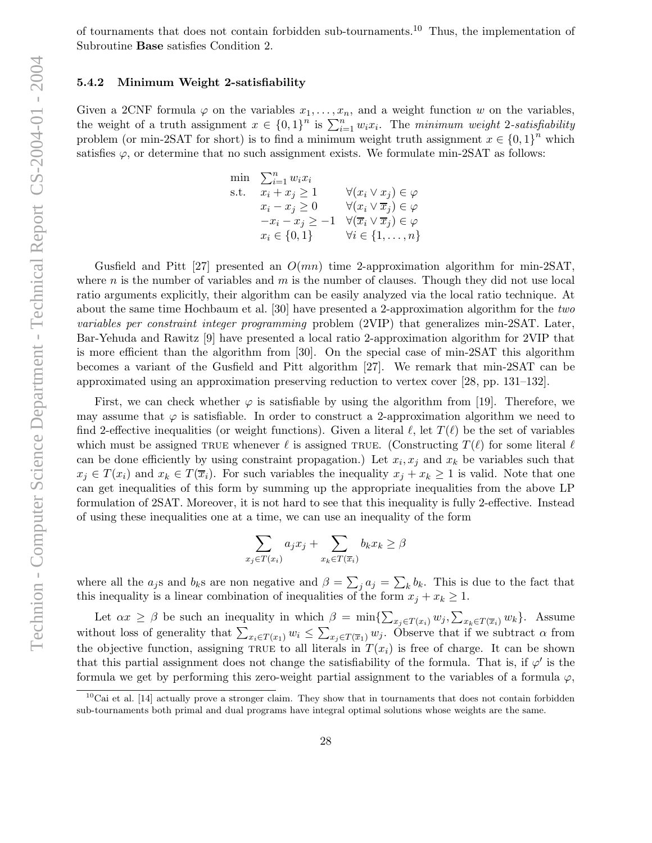of tournaments that does not contain forbidden sub-tournaments.<sup>10</sup> Thus, the implementation of Subroutine Base satisfies Condition 2.

# 5.4.2 Minimum Weight 2-satisfiability

Given a 2CNF formula  $\varphi$  on the variables  $x_1, \ldots, x_n$ , and a weight function w on the variables, the weight of a truth assignment  $x \in \{0,1\}^n$  is  $\sum_{i=1}^n w_i x_i$ . The minimum weight 2-satisfiability problem (or min-2SAT for short) is to find a minimum weight truth assignment  $x \in \{0,1\}^n$  which satisfies  $\varphi$ , or determine that no such assignment exists. We formulate min-2SAT as follows:

| min  | $\sum_{i=1}^n w_i x_i$ |                                                            |
|------|------------------------|------------------------------------------------------------|
| s.t. | $x_i + x_j \geq 1$     | $\forall (x_i \vee x_j) \in \varphi$                       |
|      | $x_i - x_j \geq 0$     | $\forall (x_i \vee \overline{x}_i) \in \varphi$            |
|      | $-x_i-x_j\geq -1$      | $\forall (\overline{x}_i \vee \overline{x}_j) \in \varphi$ |
|      | $x_i \in \{0,1\}$      | $\forall i \in \{1, \ldots, n\}$                           |

Gusfield and Pitt [27] presented an  $O(mn)$  time 2-approximation algorithm for min-2SAT, where  $n$  is the number of variables and  $m$  is the number of clauses. Though they did not use local ratio arguments explicitly, their algorithm can be easily analyzed via the local ratio technique. At about the same time Hochbaum et al. [30] have presented a 2-approximation algorithm for the two variables per constraint integer programming problem (2VIP) that generalizes min-2SAT. Later, Bar-Yehuda and Rawitz [9] have presented a local ratio 2-approximation algorithm for 2VIP that is more efficient than the algorithm from [30]. On the special case of min-2SAT this algorithm becomes a variant of the Gusfield and Pitt algorithm [27]. We remark that min-2SAT can be approximated using an approximation preserving reduction to vertex cover [28, pp. 131–132].

First, we can check whether  $\varphi$  is satisfiable by using the algorithm from [19]. Therefore, we may assume that  $\varphi$  is satisfiable. In order to construct a 2-approximation algorithm we need to find 2-effective inequalities (or weight functions). Given a literal  $\ell$ , let  $T(\ell)$  be the set of variables which must be assigned TRUE whenever  $\ell$  is assigned TRUE. (Constructing  $T(\ell)$  for some literal  $\ell$ can be done efficiently by using constraint propagation.) Let  $x_i, x_j$  and  $x_k$  be variables such that  $x_j \in T(x_i)$  and  $x_k \in T(\overline{x}_i)$ . For such variables the inequality  $x_j + x_k \ge 1$  is valid. Note that one can get inequalities of this form by summing up the appropriate inequalities from the above LP formulation of 2SAT. Moreover, it is not hard to see that this inequality is fully 2-effective. Instead of using these inequalities one at a time, we can use an inequality of the form

$$
\sum_{x_j \in T(x_i)} a_j x_j + \sum_{x_k \in T(\overline{x}_i)} b_k x_k \ge \beta
$$

where all the  $a_j$ s and  $b_k$ s are non negative and  $\beta = \sum_j a_j = \sum_k b_k$ . This is due to the fact that this inequality is a linear combination of inequalities of the form  $x_j + x_k \geq 1$ .

Let  $\alpha x \geq \beta$  be such an inequality in which  $\beta = \min\{\sum_{x_j \in T(x_i)} w_j, \sum_{x_k \in T(\overline{x_i})} w_k\}$ . Assume without loss of generality that  $\sum_{x_i \in T(x_1)} w_i \leq \sum_{x_j \in T(\overline{x}_1)} w_j$ . Observe that if we subtract  $\alpha$  from the objective function, assigning TRUE to all literals in  $T(x_i)$  is free of charge. It can be shown that this partial assignment does not change the satisfiability of the formula. That is, if  $\varphi'$  is the formula we get by performing this zero-weight partial assignment to the variables of a formula  $\varphi$ ,

 $10$ Cai et al. [14] actually prove a stronger claim. They show that in tournaments that does not contain forbidden sub-tournaments both primal and dual programs have integral optimal solutions whose weights are the same.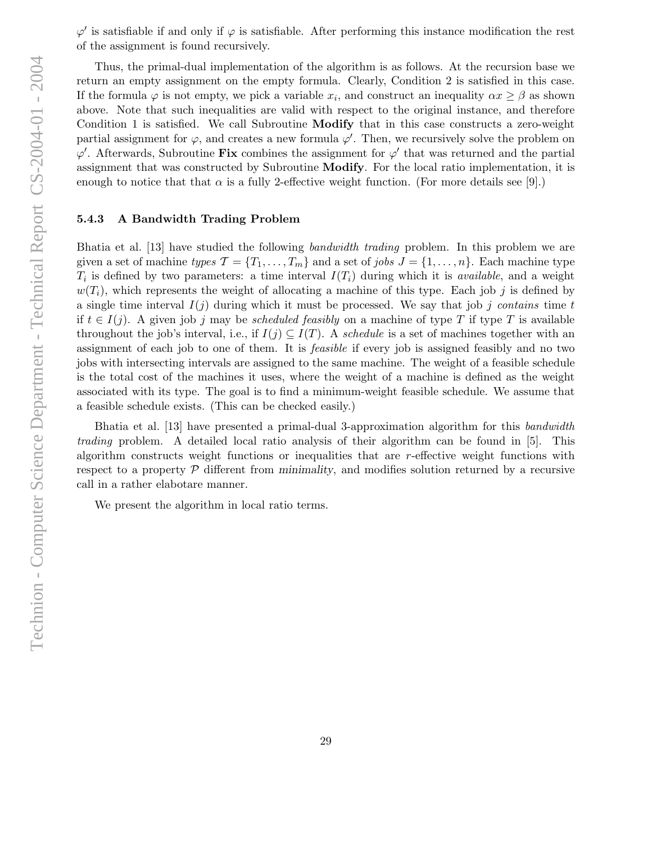$\varphi'$  is satisfiable if and only if  $\varphi$  is satisfiable. After performing this instance modification the rest of the assignment is found recursively.

Thus, the primal-dual implementation of the algorithm is as follows. At the recursion base we return an empty assignment on the empty formula. Clearly, Condition 2 is satisfied in this case. If the formula  $\varphi$  is not empty, we pick a variable  $x_i$ , and construct an inequality  $\alpha x \geq \beta$  as shown above. Note that such inequalities are valid with respect to the original instance, and therefore Condition 1 is satisfied. We call Subroutine **Modify** that in this case constructs a zero-weight partial assignment for  $\varphi$ , and creates a new formula  $\varphi'$ . Then, we recursively solve the problem on  $\varphi'$ . Afterwards, Subroutine Fix combines the assignment for  $\varphi'$  that was returned and the partial assignment that was constructed by Subroutine Modify. For the local ratio implementation, it is enough to notice that that  $\alpha$  is a fully 2-effective weight function. (For more details see [9].)

#### 5.4.3 A Bandwidth Trading Problem

Bhatia et al. [13] have studied the following bandwidth trading problem. In this problem we are given a set of machine types  $\mathcal{T} = \{T_1, \ldots, T_m\}$  and a set of jobs  $J = \{1, \ldots, n\}$ . Each machine type  $T_i$  is defined by two parameters: a time interval  $I(T_i)$  during which it is *available*, and a weight  $w(T_i)$ , which represents the weight of allocating a machine of this type. Each job j is defined by a single time interval  $I(j)$  during which it must be processed. We say that job j contains time t if  $t \in I(j)$ . A given job j may be scheduled feasibly on a machine of type T if type T is available throughout the job's interval, i.e., if  $I(j) \subseteq I(T)$ . A schedule is a set of machines together with an assignment of each job to one of them. It is feasible if every job is assigned feasibly and no two jobs with intersecting intervals are assigned to the same machine. The weight of a feasible schedule is the total cost of the machines it uses, where the weight of a machine is defined as the weight associated with its type. The goal is to find a minimum-weight feasible schedule. We assume that a feasible schedule exists. (This can be checked easily.)

Bhatia et al. [13] have presented a primal-dual 3-approximation algorithm for this bandwidth trading problem. A detailed local ratio analysis of their algorithm can be found in [5]. This algorithm constructs weight functions or inequalities that are r-effective weight functions with respect to a property  $\mathcal P$  different from minimality, and modifies solution returned by a recursive call in a rather elabotare manner.

We present the algorithm in local ratio terms.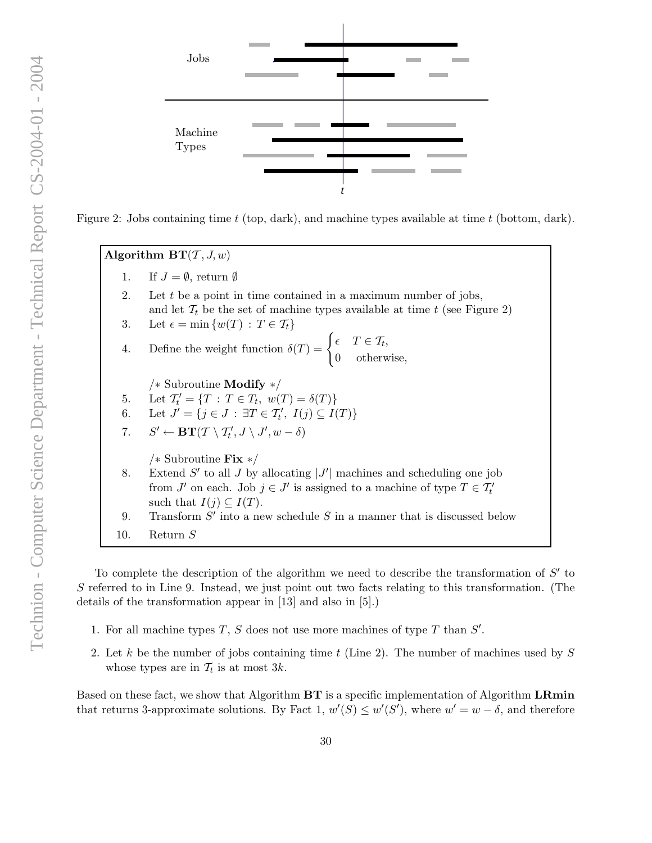

Figure 2: Jobs containing time  $t$  (top, dark), and machine types available at time  $t$  (bottom, dark).

Algorithm  $BT(T, J, w)$ 1. If  $J = \emptyset$ , return  $\emptyset$ 2. Let  $t$  be a point in time contained in a maximum number of jobs, and let  $\mathcal{T}_t$  be the set of machine types available at time t (see Figure 2) 3. Let  $\epsilon = \min \{w(T) : T \in \mathcal{T}_t\}$ 4. Define the weight function  $\delta(T) = \begin{cases} \epsilon & T \in \mathcal{T}_t, \\ 0 & \epsilon \end{cases}$ 0 otherwise, /∗ Subroutine Modify ∗/ 5. Let  $T'_t = \{T : T \in T_t, w(T) = \delta(T)\}\$ 6. Let  $J' = \{j \in J : \exists T \in T'_t, I(j) \subseteq I(T)\}\$ 7.  $\mathcal{I}' \leftarrow \mathbf{BT}( \mathcal{T} \setminus \mathcal{T}'_t, J \setminus J', w - \delta)$ /∗ Subroutine Fix ∗/ 8. Extend  $S'$  to all J by allocating  $|J'|$  machines and scheduling one job from  $J'$  on each. Job  $j \in J'$  is assigned to a machine of type  $T \in \mathcal{T}'_t$ such that  $I(j) \subseteq I(T)$ . 9. Transform  $S'$  into a new schedule  $S$  in a manner that is discussed below 10. Return S

To complete the description of the algorithm we need to describe the transformation of  $S'$  to S referred to in Line 9. Instead, we just point out two facts relating to this transformation. (The details of the transformation appear in [13] and also in [5].)

- 1. For all machine types  $T$ ,  $S$  does not use more machines of type  $T$  than  $S'$ .
- 2. Let k be the number of jobs containing time t (Line 2). The number of machines used by  $S$ whose types are in  $\mathcal{T}_t$  is at most 3k.

Based on these fact, we show that Algorithm **BT** is a specific implementation of Algorithm LRmin that returns 3-approximate solutions. By Fact 1,  $w'(S) \leq w'(S')$ , where  $w' = w - \delta$ , and therefore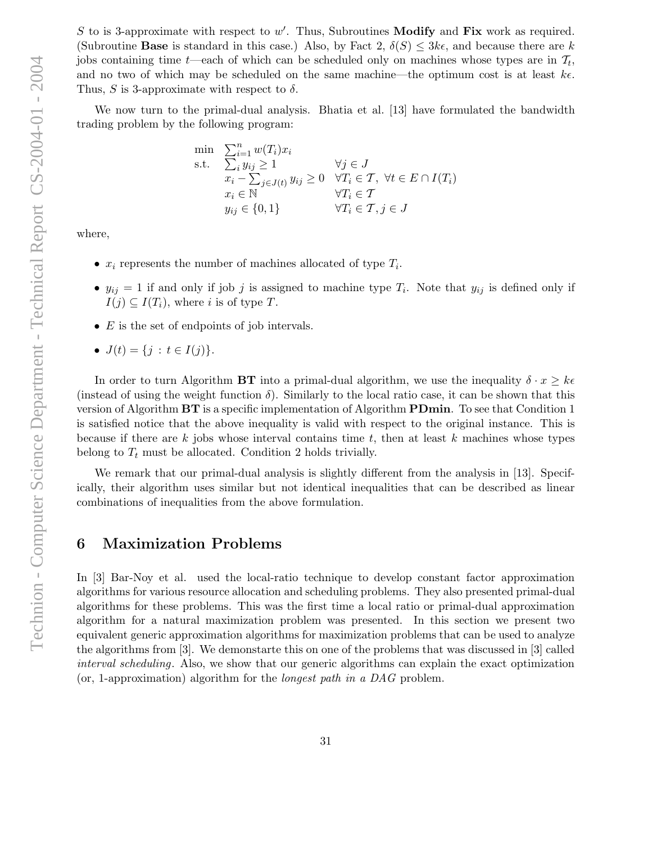S to is 3-approximate with respect to  $w'$ . Thus, Subroutines Modify and Fix work as required. (Subroutine **Base** is standard in this case.) Also, by Fact 2,  $\delta(S) \leq 3k\epsilon$ , and because there are k jobs containing time  $t$ —each of which can be scheduled only on machines whose types are in  $\mathcal{T}_t$ , and no two of which may be scheduled on the same machine—the optimum cost is at least  $k\epsilon$ . Thus, S is 3-approximate with respect to  $\delta$ .

We now turn to the primal-dual analysis. Bhatia et al. [13] have formulated the bandwidth trading problem by the following program:

min 
$$
\sum_{i=1}^{n} w(T_i)x_i
$$
  
\ns.t.  $\sum_i y_{ij} \ge 1$   $\forall j \in J$   
\n $x_i - \sum_{j \in J(t)} y_{ij} \ge 0$   $\forall T_i \in T, \forall t \in E \cap I(T_i)$   
\n $x_i \in \mathbb{N}$   $\forall T_i \in T$   
\n $y_{ij} \in \{0, 1\}$   $\forall T_i \in T, j \in J$ 

where,

- $x_i$  represents the number of machines allocated of type  $T_i$ .
- $y_{ij} = 1$  if and only if job j is assigned to machine type  $T_i$ . Note that  $y_{ij}$  is defined only if  $I(j) \subseteq I(T_i)$ , where i is of type T.
- $E$  is the set of endpoints of job intervals.

• 
$$
J(t) = \{j : t \in I(j)\}.
$$

In order to turn Algorithm BT into a primal-dual algorithm, we use the inequality  $\delta \cdot x \geq k\epsilon$ (instead of using the weight function  $\delta$ ). Similarly to the local ratio case, it can be shown that this version of Algorithm BT is a specific implementation of Algorithm PDmin. To see that Condition 1 is satisfied notice that the above inequality is valid with respect to the original instance. This is because if there are k jobs whose interval contains time t, then at least k machines whose types belong to  $T_t$  must be allocated. Condition 2 holds trivially.

We remark that our primal-dual analysis is slightly different from the analysis in [13]. Specifically, their algorithm uses similar but not identical inequalities that can be described as linear combinations of inequalities from the above formulation.

# 6 Maximization Problems

In [3] Bar-Noy et al. used the local-ratio technique to develop constant factor approximation algorithms for various resource allocation and scheduling problems. They also presented primal-dual algorithms for these problems. This was the first time a local ratio or primal-dual approximation algorithm for a natural maximization problem was presented. In this section we present two equivalent generic approximation algorithms for maximization problems that can be used to analyze the algorithms from [3]. We demonstarte this on one of the problems that was discussed in [3] called interval scheduling. Also, we show that our generic algorithms can explain the exact optimization (or, 1-approximation) algorithm for the longest path in a DAG problem.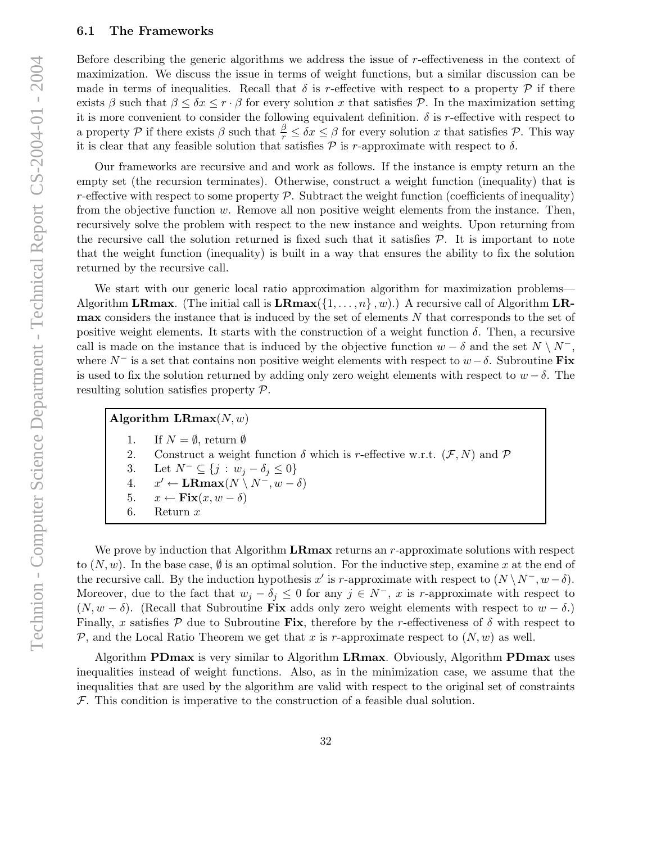Before describing the generic algorithms we address the issue of  $r$ -effectiveness in the context of maximization. We discuss the issue in terms of weight functions, but a similar discussion can be made in terms of inequalities. Recall that  $\delta$  is r-effective with respect to a property  $\mathcal P$  if there exists β such that  $\beta \leq \delta x \leq r \cdot \beta$  for every solution x that satisfies P. In the maximization setting it is more convenient to consider the following equivalent definition.  $\delta$  is r-effective with respect to a property  $P$  if there exists  $\beta$  such that  $\frac{\beta}{r} \leq \delta x \leq \beta$  for every solution x that satisfies  $P$ . This way it is clear that any feasible solution that satisfies  $P$  is r-approximate with respect to  $\delta$ .

Our frameworks are recursive and and work as follows. If the instance is empty return an the empty set (the recursion terminates). Otherwise, construct a weight function (inequality) that is r-effective with respect to some property  $\mathcal{P}$ . Subtract the weight function (coefficients of inequality) from the objective function  $w$ . Remove all non positive weight elements from the instance. Then, recursively solve the problem with respect to the new instance and weights. Upon returning from the recursive call the solution returned is fixed such that it satisfies  $P$ . It is important to note that the weight function (inequality) is built in a way that ensures the ability to fix the solution returned by the recursive call.

We start with our generic local ratio approximation algorithm for maximization problems— Algorithm LRmax. (The initial call is  $\mathbf{LRmax}(\{1,\ldots,n\},w)$ .) A recursive call of Algorithm LRmax considers the instance that is induced by the set of elements N that corresponds to the set of positive weight elements. It starts with the construction of a weight function  $\delta$ . Then, a recursive call is made on the instance that is induced by the objective function  $w - \delta$  and the set  $N \setminus N^-$ , where  $N^-$  is a set that contains non positive weight elements with respect to  $w-\delta$ . Subroutine Fix is used to fix the solution returned by adding only zero weight elements with respect to  $w - \delta$ . The resulting solution satisfies property P.

Algorithm  $\text{LRmax}(N, w)$ 1. If  $N = \emptyset$ , return  $\emptyset$ 2. Construct a weight function  $\delta$  which is r-effective w.r.t.  $(\mathcal{F}, N)$  and  $\mathcal{P}$ 3. Let  $N^- \subseteq \{j : w_j - \delta_j \leq 0\}$ 4.  $x' \leftarrow \textbf{LRmax}(N \setminus N^-, w - \delta)$ 5.  $x \leftarrow \textbf{Fix}(x, w - \delta)$ 6. Return x

We prove by induction that Algorithm  $LRmax$  returns an  $r$ -approximate solutions with respect to  $(N, w)$ . In the base case,  $\emptyset$  is an optimal solution. For the inductive step, examine x at the end of the recursive call. By the induction hypothesis x' is r-approximate with respect to  $(N \setminus N^-, w - \delta)$ . Moreover, due to the fact that  $w_j - \delta_j \leq 0$  for any  $j \in N^-$ , x is r-approximate with respect to  $(N, w - \delta)$ . (Recall that Subroutine Fix adds only zero weight elements with respect to  $w - \delta$ .) Finally, x satisfies P due to Subroutine Fix, therefore by the r-effectiveness of  $\delta$  with respect to P, and the Local Ratio Theorem we get that x is r-approximate respect to  $(N, w)$  as well.

Algorithm **PDmax** is very similar to Algorithm LRmax. Obviously, Algorithm **PDmax** uses inequalities instead of weight functions. Also, as in the minimization case, we assume that the inequalities that are used by the algorithm are valid with respect to the original set of constraints  $F$ . This condition is imperative to the construction of a feasible dual solution.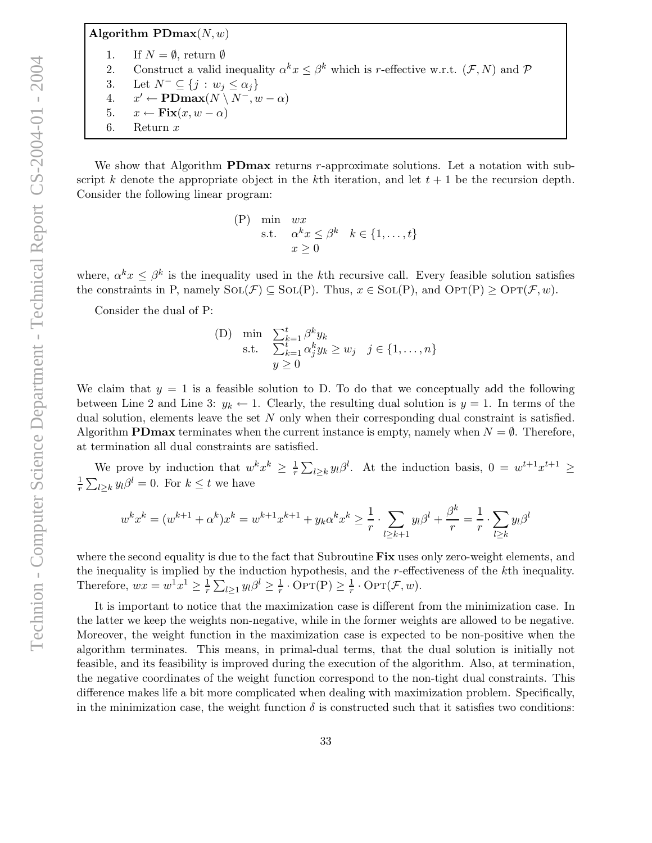Algorithm  $\text{PDmax}(N, w)$ 

1. If  $N = \emptyset$ , return  $\emptyset$ 2. Construct a valid inequality  $\alpha^k x \leq \beta^k$  which is r-effective w.r.t.  $(\mathcal{F}, N)$  and  $\mathcal{P}$ 3. Let  $N^- \subseteq \{j : w_j \leq \alpha_j\}$ 4.  $x' \leftarrow \text{PDmax}(N \setminus N^-, w - \alpha)$ 5.  $x \leftarrow \text{Fix}(x, w - \alpha)$ 6. Return x

We show that Algorithm **PDmax** returns r-approximate solutions. Let a notation with subscript k denote the appropriate object in the kth iteration, and let  $t + 1$  be the recursion depth. Consider the following linear program:

> $(P)$  min  $wx$ s.t.  $\alpha^k x \leq \beta^k \quad k \in \{1, \ldots, t\}$  $x \geq 0$

where,  $\alpha^k x \leq \beta^k$  is the inequality used in the kth recursive call. Every feasible solution satisfies the constraints in P, namely  $SOL(\mathcal{F}) \subseteq SOL(P)$ . Thus,  $x \in SOL(P)$ , and  $OPT(P) \geq OPT(\mathcal{F}, w)$ .

Consider the dual of P:

(D) min 
$$
\sum_{k=1}^{t} \beta^k y_k
$$
  
s.t. 
$$
\sum_{k=1}^{t} \alpha_j^k y_k \ge w_j \quad j \in \{1, ..., n\}
$$

$$
y \ge 0
$$

We claim that  $y = 1$  is a feasible solution to D. To do that we conceptually add the following between Line 2 and Line 3:  $y_k \leftarrow 1$ . Clearly, the resulting dual solution is  $y = 1$ . In terms of the dual solution, elements leave the set N only when their corresponding dual constraint is satisfied. Algorithm **PDmax** terminates when the current instance is empty, namely when  $N = \emptyset$ . Therefore, at termination all dual constraints are satisfied.

We prove by induction that  $w^k x^k \geq \frac{1}{r} \sum_{l \geq k} y_l \beta^l$ . At the induction basis,  $0 = w^{t+1} x^{t+1} \geq$  $\frac{1}{r} \sum_{l \geq k} y_l \beta^l = 0$ . For  $k \leq t$  we have

$$
w^{k}x^{k} = (w^{k+1} + \alpha^{k})x^{k} = w^{k+1}x^{k+1} + y_{k}\alpha^{k}x^{k} \ge \frac{1}{r} \cdot \sum_{l \ge k+1} y_{l}\beta^{l} + \frac{\beta^{k}}{r} = \frac{1}{r} \cdot \sum_{l \ge k} y_{l}\beta^{l}
$$

where the second equality is due to the fact that Subroutine  $\text{Fix}$  uses only zero-weight elements, and the inequality is implied by the induction hypothesis, and the  $r$ -effectiveness of the  $k$ th inequality. Therefore,  $wx = w^1x^1 \ge \frac{1}{r}\sum_{l\ge 1}y_l\beta^l \ge \frac{1}{r} \cdot \text{OPT}(P) \ge \frac{1}{r} \cdot \text{OPT}(\mathcal{F},w)$ .

It is important to notice that the maximization case is different from the minimization case. In the latter we keep the weights non-negative, while in the former weights are allowed to be negative. Moreover, the weight function in the maximization case is expected to be non-positive when the algorithm terminates. This means, in primal-dual terms, that the dual solution is initially not feasible, and its feasibility is improved during the execution of the algorithm. Also, at termination, the negative coordinates of the weight function correspond to the non-tight dual constraints. This difference makes life a bit more complicated when dealing with maximization problem. Specifically, in the minimization case, the weight function  $\delta$  is constructed such that it satisfies two conditions: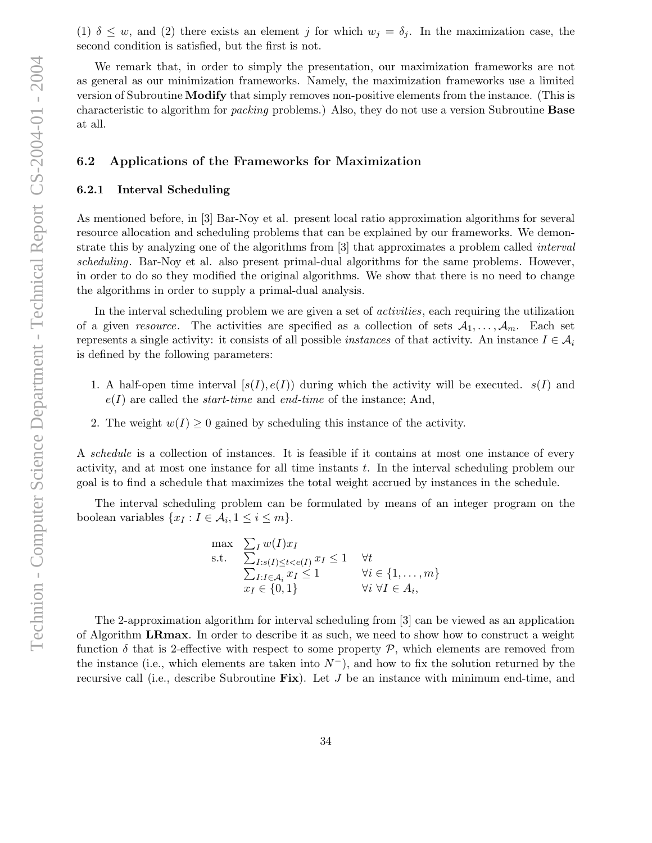(1)  $\delta \leq w$ , and (2) there exists an element j for which  $w_j = \delta_j$ . In the maximization case, the second condition is satisfied, but the first is not.

We remark that, in order to simply the presentation, our maximization frameworks are not as general as our minimization frameworks. Namely, the maximization frameworks use a limited version of Subroutine **Modify** that simply removes non-positive elements from the instance. (This is characteristic to algorithm for packing problems.) Also, they do not use a version Subroutine Base at all.

# 6.2 Applications of the Frameworks for Maximization

#### 6.2.1 Interval Scheduling

As mentioned before, in [3] Bar-Noy et al. present local ratio approximation algorithms for several resource allocation and scheduling problems that can be explained by our frameworks. We demonstrate this by analyzing one of the algorithms from [3] that approximates a problem called interval scheduling. Bar-Noy et al. also present primal-dual algorithms for the same problems. However, in order to do so they modified the original algorithms. We show that there is no need to change the algorithms in order to supply a primal-dual analysis.

In the interval scheduling problem we are given a set of *activities*, each requiring the utilization of a given resource. The activities are specified as a collection of sets  $A_1, \ldots, A_m$ . Each set represents a single activity: it consists of all possible *instances* of that activity. An instance  $I \in \mathcal{A}_i$ is defined by the following parameters:

- 1. A half-open time interval  $[s(I), e(I))$  during which the activity will be executed.  $s(I)$  and  $e(I)$  are called the *start-time* and *end-time* of the instance; And,
- 2. The weight  $w(I) \geq 0$  gained by scheduling this instance of the activity.

A schedule is a collection of instances. It is feasible if it contains at most one instance of every activity, and at most one instance for all time instants t. In the interval scheduling problem our goal is to find a schedule that maximizes the total weight accrued by instances in the schedule.

The interval scheduling problem can be formulated by means of an integer program on the boolean variables  $\{x_I : I \in \mathcal{A}_i, 1 \le i \le m\}.$ 

$$
\begin{array}{ll}\n\max & \sum_I w(I)x_I \\
\text{s.t.} & \sum_{I:s(I)\leq t
$$

The 2-approximation algorithm for interval scheduling from [3] can be viewed as an application of Algorithm LRmax. In order to describe it as such, we need to show how to construct a weight function  $\delta$  that is 2-effective with respect to some property  $P$ , which elements are removed from the instance (i.e., which elements are taken into  $N^-$ ), and how to fix the solution returned by the recursive call (i.e., describe Subroutine  $Fix$ ). Let J be an instance with minimum end-time, and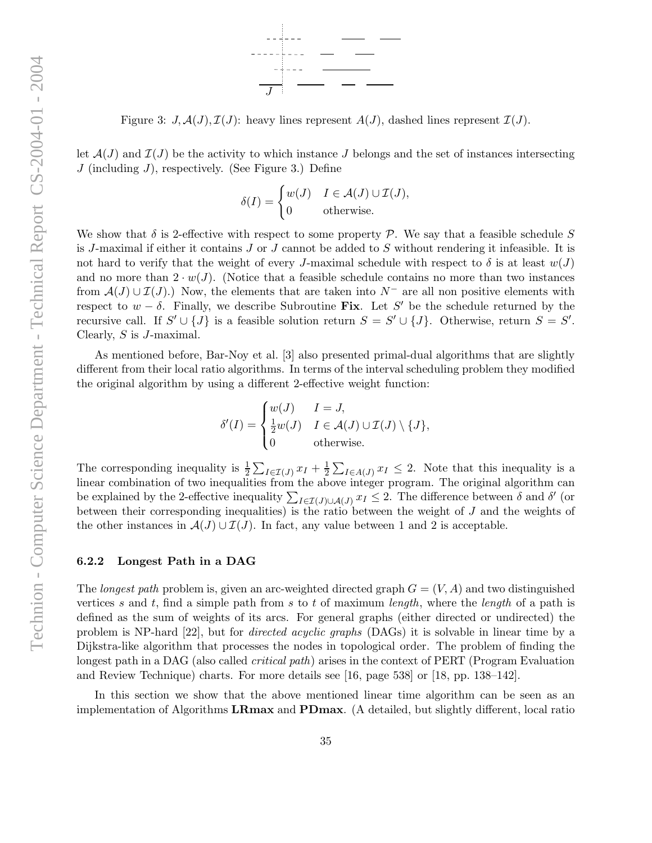

Figure 3:  $J, \mathcal{A}(J), \mathcal{I}(J)$ : heavy lines represent  $A(J)$ , dashed lines represent  $\mathcal{I}(J)$ .

let  $\mathcal{A}(J)$  and  $\mathcal{I}(J)$  be the activity to which instance J belongs and the set of instances intersecting  $J$  (including  $J$ ), respectively. (See Figure 3.) Define

$$
\delta(I) = \begin{cases} w(J) & I \in \mathcal{A}(J) \cup \mathcal{I}(J), \\ 0 & \text{otherwise.} \end{cases}
$$

We show that  $\delta$  is 2-effective with respect to some property P. We say that a feasible schedule S is J-maximal if either it contains  $J$  or  $J$  cannot be added to  $S$  without rendering it infeasible. It is not hard to verify that the weight of every J-maximal schedule with respect to  $\delta$  is at least  $w(J)$ and no more than  $2 \cdot w(J)$ . (Notice that a feasible schedule contains no more than two instances from  $\mathcal{A}(J) \cup \mathcal{I}(J)$ .) Now, the elements that are taken into N<sup>-</sup> are all non positive elements with respect to  $w - \delta$ . Finally, we describe Subroutine Fix. Let S' be the schedule returned by the recursive call. If  $S' \cup \{J\}$  is a feasible solution return  $S = S' \cup \{J\}$ . Otherwise, return  $S = S'$ . Clearly, S is J-maximal.

As mentioned before, Bar-Noy et al. [3] also presented primal-dual algorithms that are slightly different from their local ratio algorithms. In terms of the interval scheduling problem they modified the original algorithm by using a different 2-effective weight function:

$$
\delta'(I) = \begin{cases} w(J) & I = J, \\ \frac{1}{2}w(J) & I \in \mathcal{A}(J) \cup \mathcal{I}(J) \setminus \{J\}, \\ 0 & \text{otherwise.} \end{cases}
$$

The corresponding inequality is  $\frac{1}{2} \sum_{I \in \mathcal{I}(J)} x_I + \frac{1}{2}$  $\frac{1}{2} \sum_{I \in A(J)} x_I \leq 2$ . Note that this inequality is a linear combination of two inequalities from the above integer program. The original algorithm can be explained by the 2-effective inequality  $\sum_{I \in \mathcal{I}(J) \cup \mathcal{A}(J)} x_I \leq 2$ . The difference between  $\delta$  and  $\delta'$  (or between their corresponding inequalities) is the ratio between the weight of J and the weights of the other instances in  $\mathcal{A}(J) \cup \mathcal{I}(J)$ . In fact, any value between 1 and 2 is acceptable.

#### 6.2.2 Longest Path in a DAG

The longest path problem is, given an arc-weighted directed graph  $G = (V, A)$  and two distinguished vertices s and t, find a simple path from s to t of maximum length, where the length of a path is defined as the sum of weights of its arcs. For general graphs (either directed or undirected) the problem is NP-hard [22], but for directed acyclic graphs (DAGs) it is solvable in linear time by a Dijkstra-like algorithm that processes the nodes in topological order. The problem of finding the longest path in a DAG (also called *critical path*) arises in the context of PERT (Program Evaluation and Review Technique) charts. For more details see [16, page 538] or [18, pp. 138–142].

In this section we show that the above mentioned linear time algorithm can be seen as an implementation of Algorithms LRmax and PDmax. (A detailed, but slightly different, local ratio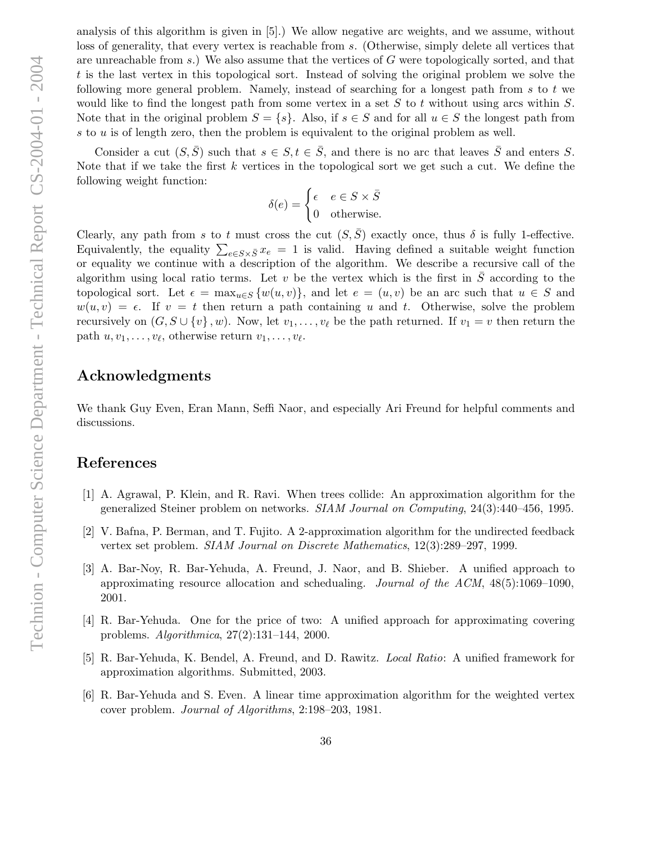analysis of this algorithm is given in [5].) We allow negative arc weights, and we assume, without loss of generality, that every vertex is reachable from s. (Otherwise, simply delete all vertices that are unreachable from s.) We also assume that the vertices of  $G$  were topologically sorted, and that t is the last vertex in this topological sort. Instead of solving the original problem we solve the following more general problem. Namely, instead of searching for a longest path from  $s$  to  $t$  we would like to find the longest path from some vertex in a set  $S$  to  $t$  without using arcs within  $S$ . Note that in the original problem  $S = \{s\}$ . Also, if  $s \in S$  and for all  $u \in S$  the longest path from  $s$  to  $u$  is of length zero, then the problem is equivalent to the original problem as well.

Consider a cut  $(S, \overline{S})$  such that  $s \in S, t \in \overline{S}$ , and there is no arc that leaves  $\overline{S}$  and enters S. Note that if we take the first  $k$  vertices in the topological sort we get such a cut. We define the following weight function:

$$
\delta(e) = \begin{cases} \epsilon & e \in S \times \bar{S} \\ 0 & \text{otherwise.} \end{cases}
$$

Clearly, any path from s to t must cross the cut  $(S,\overline{S})$  exactly once, thus  $\delta$  is fully 1-effective. Equivalently, the equality  $\sum_{e \in S \times \bar{S}} x_e = 1$  is valid. Having defined a suitable weight function or equality we continue with a description of the algorithm. We describe a recursive call of the algorithm using local ratio terms. Let v be the vertex which is the first in  $\overline{S}$  according to the topological sort. Let  $\epsilon = \max_{u \in S} \{w(u, v)\}\$ , and let  $e = (u, v)$  be an arc such that  $u \in S$  and  $w(u, v) = \epsilon$ . If  $v = t$  then return a path containing u and t. Otherwise, solve the problem recursively on  $(G, S \cup \{v\}, w)$ . Now, let  $v_1, \ldots, v_\ell$  be the path returned. If  $v_1 = v$  then return the path  $u, v_1, \ldots, v_\ell$ , otherwise return  $v_1, \ldots, v_\ell$ .

# Acknowledgments

We thank Guy Even, Eran Mann, Seffi Naor, and especially Ari Freund for helpful comments and discussions.

# References

- [1] A. Agrawal, P. Klein, and R. Ravi. When trees collide: An approximation algorithm for the generalized Steiner problem on networks. SIAM Journal on Computing, 24(3):440–456, 1995.
- [2] V. Bafna, P. Berman, and T. Fujito. A 2-approximation algorithm for the undirected feedback vertex set problem. SIAM Journal on Discrete Mathematics, 12(3):289–297, 1999.
- [3] A. Bar-Noy, R. Bar-Yehuda, A. Freund, J. Naor, and B. Shieber. A unified approach to approximating resource allocation and schedualing. Journal of the  $ACM$ ,  $48(5)$ :1069–1090, 2001.
- [4] R. Bar-Yehuda. One for the price of two: A unified approach for approximating covering problems. Algorithmica, 27(2):131–144, 2000.
- [5] R. Bar-Yehuda, K. Bendel, A. Freund, and D. Rawitz. Local Ratio: A unified framework for approximation algorithms. Submitted, 2003.
- [6] R. Bar-Yehuda and S. Even. A linear time approximation algorithm for the weighted vertex cover problem. Journal of Algorithms, 2:198–203, 1981.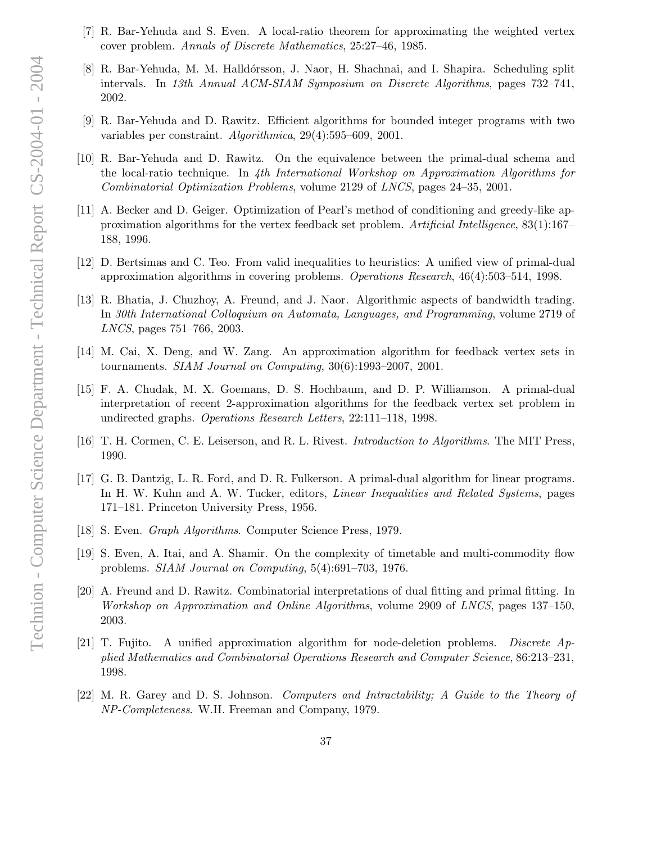- [7] R. Bar-Yehuda and S. Even. A local-ratio theorem for approximating the weighted vertex cover problem. Annals of Discrete Mathematics, 25:27–46, 1985.
- [8] R. Bar-Yehuda, M. M. Halldórsson, J. Naor, H. Shachnai, and I. Shapira. Scheduling split intervals. In 13th Annual ACM-SIAM Symposium on Discrete Algorithms, pages 732–741, 2002.
- [9] R. Bar-Yehuda and D. Rawitz. Efficient algorithms for bounded integer programs with two variables per constraint. Algorithmica, 29(4):595–609, 2001.
- [10] R. Bar-Yehuda and D. Rawitz. On the equivalence between the primal-dual schema and the local-ratio technique. In 4th International Workshop on Approximation Algorithms for Combinatorial Optimization Problems, volume 2129 of LNCS, pages 24–35, 2001.
- [11] A. Becker and D. Geiger. Optimization of Pearl's method of conditioning and greedy-like approximation algorithms for the vertex feedback set problem. Artificial Intelligence, 83(1):167– 188, 1996.
- [12] D. Bertsimas and C. Teo. From valid inequalities to heuristics: A unified view of primal-dual approximation algorithms in covering problems. Operations Research, 46(4):503–514, 1998.
- [13] R. Bhatia, J. Chuzhoy, A. Freund, and J. Naor. Algorithmic aspects of bandwidth trading. In 30th International Colloquium on Automata, Languages, and Programming, volume 2719 of LNCS, pages 751–766, 2003.
- [14] M. Cai, X. Deng, and W. Zang. An approximation algorithm for feedback vertex sets in tournaments. SIAM Journal on Computing, 30(6):1993–2007, 2001.
- [15] F. A. Chudak, M. X. Goemans, D. S. Hochbaum, and D. P. Williamson. A primal-dual interpretation of recent 2-approximation algorithms for the feedback vertex set problem in undirected graphs. Operations Research Letters, 22:111–118, 1998.
- [16] T. H. Cormen, C. E. Leiserson, and R. L. Rivest. Introduction to Algorithms. The MIT Press, 1990.
- [17] G. B. Dantzig, L. R. Ford, and D. R. Fulkerson. A primal-dual algorithm for linear programs. In H. W. Kuhn and A. W. Tucker, editors, *Linear Inequalities and Related Systems*, pages 171–181. Princeton University Press, 1956.
- [18] S. Even. *Graph Algorithms*. Computer Science Press, 1979.
- [19] S. Even, A. Itai, and A. Shamir. On the complexity of timetable and multi-commodity flow problems. SIAM Journal on Computing, 5(4):691–703, 1976.
- [20] A. Freund and D. Rawitz. Combinatorial interpretations of dual fitting and primal fitting. In Workshop on Approximation and Online Algorithms, volume 2909 of LNCS, pages 137–150, 2003.
- [21] T. Fujito. A unified approximation algorithm for node-deletion problems. Discrete Applied Mathematics and Combinatorial Operations Research and Computer Science, 86:213–231, 1998.
- [22] M. R. Garey and D. S. Johnson. Computers and Intractability; A Guide to the Theory of NP-Completeness. W.H. Freeman and Company, 1979.